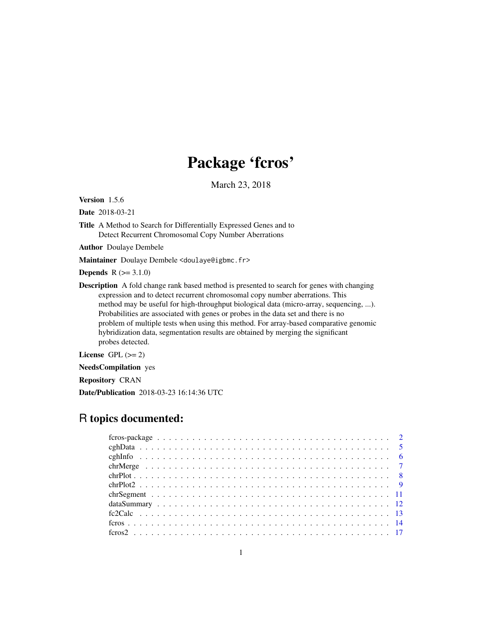## Package 'fcros'

March 23, 2018

Version 1.5.6

Date 2018-03-21

Title A Method to Search for Differentially Expressed Genes and to Detect Recurrent Chromosomal Copy Number Aberrations

Author Doulaye Dembele

Maintainer Doulaye Dembele <doulaye@igbmc.fr>

**Depends**  $R (=3.1.0)$ 

Description A fold change rank based method is presented to search for genes with changing expression and to detect recurrent chromosomal copy number aberrations. This method may be useful for high-throughput biological data (micro-array, sequencing, ...). Probabilities are associated with genes or probes in the data set and there is no problem of multiple tests when using this method. For array-based comparative genomic hybridization data, segmentation results are obtained by merging the significant probes detected.

License GPL  $(>= 2)$ 

NeedsCompilation yes

Repository CRAN

Date/Publication 2018-03-23 16:14:36 UTC

## R topics documented: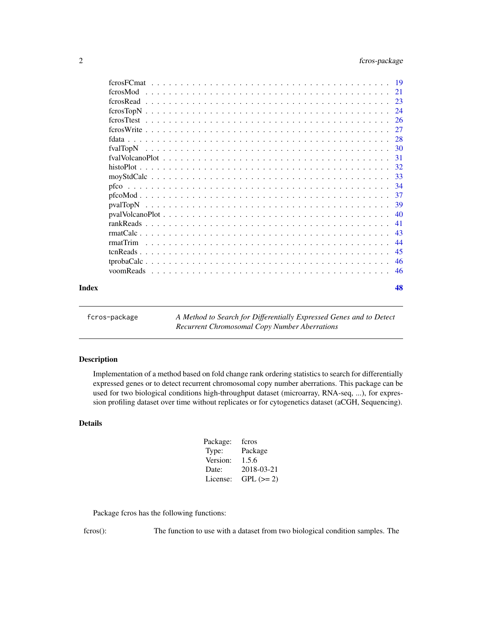<span id="page-1-0"></span>

|       | ferosMod                                                                                                           |     |
|-------|--------------------------------------------------------------------------------------------------------------------|-----|
|       |                                                                                                                    |     |
|       |                                                                                                                    | 24  |
|       |                                                                                                                    |     |
|       |                                                                                                                    | 27  |
|       |                                                                                                                    |     |
|       |                                                                                                                    |     |
|       |                                                                                                                    | 31  |
|       |                                                                                                                    |     |
|       |                                                                                                                    |     |
|       |                                                                                                                    | -34 |
|       |                                                                                                                    | -37 |
|       |                                                                                                                    | -39 |
|       |                                                                                                                    |     |
|       |                                                                                                                    | 41  |
|       |                                                                                                                    | 43  |
|       | rmatTrim                                                                                                           | 44  |
|       |                                                                                                                    | -45 |
|       | $tprobaCalc \dots \dots \dots \dots \dots \dots \dots \dots \dots \dots \dots \dots \dots \dots \dots \dots \dots$ | 46  |
|       |                                                                                                                    |     |
| Index |                                                                                                                    | 48  |

fcros-package *A Method to Search for Differentially Expressed Genes and to Detect Recurrent Chromosomal Copy Number Aberrations*

## Description

Implementation of a method based on fold change rank ordering statistics to search for differentially expressed genes or to detect recurrent chromosomal copy number aberrations. This package can be used for two biological conditions high-throughput dataset (microarray, RNA-seq, ...), for expression profiling dataset over time without replicates or for cytogenetics dataset (aCGH, Sequencing).

## Details

| Package: | feros      |
|----------|------------|
| Type:    | Package    |
| Version: | 1.5.6      |
| Date:    | 2018-03-21 |
| License: | $GPL (=2)$ |
|          |            |

Package fcros has the following functions:

fcros(): The function to use with a dataset from two biological condition samples. The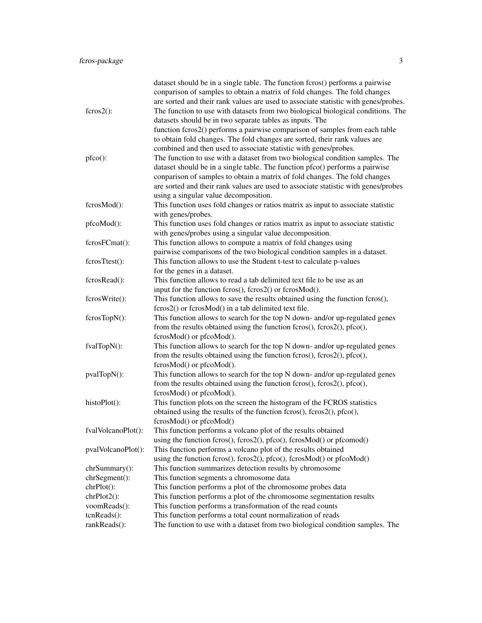|                    | dataset should be in a single table. The function fcros() performs a pairwise<br>conparison of samples to obtain a matrix of fold changes. The fold changes |
|--------------------|-------------------------------------------------------------------------------------------------------------------------------------------------------------|
|                    | are sorted and their rank values are used to associate statistic with genes/probes.                                                                         |
| $fcross2()$ :      | The function to use with datasets from two biological biological conditions. The                                                                            |
|                    | datasets should be in two separate tables as inputs. The                                                                                                    |
|                    | function fcros2() performs a pairwise comparison of samples from each table                                                                                 |
|                    | to obtain fold changes. The fold changes are sorted, their rank values are                                                                                  |
|                    | combined and then used to associate statistic with genes/probes.                                                                                            |
| pfco():            | The function to use with a dataset from two biological condition samples. The                                                                               |
|                    | dataset should be in a single table. The function pfco() performs a pairwise                                                                                |
|                    | conparison of samples to obtain a matrix of fold changes. The fold changes                                                                                  |
|                    | are sorted and their rank values are used to associate statistic with genes/probes                                                                          |
|                    | using a singular value decomposition.                                                                                                                       |
| fcrosMod():        | This function uses fold changes or ratios matrix as input to associate statistic                                                                            |
|                    | with genes/probes.                                                                                                                                          |
| pfcoMod():         | This function uses fold changes or ratios matrix as input to associate statistic                                                                            |
|                    | with genes/probes using a singular value decomposition.                                                                                                     |
| fcrosFCmat():      | This function allows to compute a matrix of fold changes using                                                                                              |
|                    | pairwise comparisons of the two biological condition samples in a dataset.                                                                                  |
| fcrosTtest():      | This function allows to use the Student t-test to calculate p-values                                                                                        |
|                    | for the genes in a dataset.                                                                                                                                 |
| fcrosRead():       | This function allows to read a tab delimited text file to be use as an                                                                                      |
|                    | input for the function fcros(), fcros2() or fcrosMod().                                                                                                     |
| fcrosWrite():      | This function allows to save the results obtained using the function fcros(),                                                                               |
|                    | fcros2() or fcrosMod() in a tab delimited text file.                                                                                                        |
| fcrosTopN():       | This function allows to search for the top N down- and/or up-regulated genes                                                                                |
|                    | from the results obtained using the function fcros(), fcros2(), pfco(),                                                                                     |
|                    | fcrosMod() or pfcoMod().                                                                                                                                    |
| fvalTopN():        | This function allows to search for the top N down- and/or up-regulated genes                                                                                |
|                    | from the results obtained using the function fcros(), fcros2(), pfco(),                                                                                     |
|                    | fcrosMod() or pfcoMod().                                                                                                                                    |
| pvalTopN():        | This function allows to search for the top N down- and/or up-regulated genes                                                                                |
|                    | from the results obtained using the function fcros(), fcros2(), pfco(),                                                                                     |
|                    | fcrosMod() or pfcoMod().                                                                                                                                    |
| histoPlot():       | This function plots on the screen the histogram of the FCROS statistics                                                                                     |
|                    | obtained using the results of the function fcros(), fcros2(), pfco(),                                                                                       |
|                    | fcrosMod() or pfcoMod()                                                                                                                                     |
| fvalVolcanoPlot(): | This function performs a volcano plot of the results obtained                                                                                               |
|                    | using the function fcros(), fcros2(), pfco(), fcrosMod() or pfcomod()                                                                                       |
| pvalVolcanoPlot(): | This function performs a volcano plot of the results obtained                                                                                               |
|                    | using the function fcros(), fcros2(), pfco(), fcrosMod() or pfcoMod()                                                                                       |
| $chrSummary()$ :   | This function summarizes detection results by chromosome                                                                                                    |
| chrSegment():      | This function segments a chromosome data                                                                                                                    |
| chrPlot():         | This function performs a plot of the chromosome probes data                                                                                                 |
| $chrPlot2()$ :     | This function performs a plot of the chromosome segmentation results                                                                                        |
| voomReads():       | This function performs a transformation of the read counts                                                                                                  |
| $tcnReads()$ :     | This function performs a total count normalization of reads                                                                                                 |
| rankReads():       | The function to use with a dataset from two biological condition samples. The                                                                               |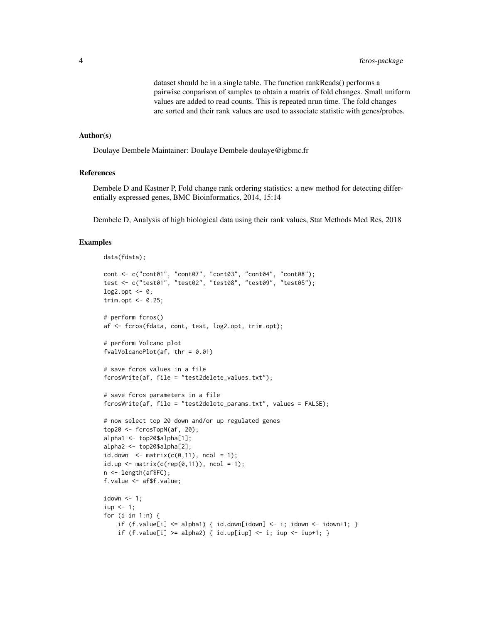dataset should be in a single table. The function rankReads() performs a pairwise conparison of samples to obtain a matrix of fold changes. Small uniform values are added to read counts. This is repeated nrun time. The fold changes are sorted and their rank values are used to associate statistic with genes/probes.

#### Author(s)

Doulaye Dembele Maintainer: Doulaye Dembele doulaye@igbmc.fr

## References

Dembele D and Kastner P, Fold change rank ordering statistics: a new method for detecting differentially expressed genes, BMC Bioinformatics, 2014, 15:14

Dembele D, Analysis of high biological data using their rank values, Stat Methods Med Res, 2018

#### Examples

```
data(fdata);
cont <- c("cont01", "cont07", "cont03", "cont04", "cont08");
test <- c("test01", "test02", "test08", "test09", "test05");
\log 2.opt <- 0;
trim.opt <- 0.25;
# perform fcros()
af <- fcros(fdata, cont, test, log2.opt, trim.opt);
# perform Volcano plot
fvalVolcanoPlot(af, thr = 0.01)
# save fcros values in a file
fcrosWrite(af, file = "test2delete_values.txt");
# save fcros parameters in a file
fcrosWrite(af, file = "test2delete_params.txt", values = FALSE);
# now select top 20 down and/or up regulated genes
top20 \leq fcrosTopN(af, 20);
alpha1 <- top20$alpha[1];
alpha2 <- top20$alpha[2];
id.down \leftarrow matrix(c(0,11), ncol = 1);id.up \leq matrix(c(rep(0,11)), ncol = 1);
n <- length(af$FC);
f.value <- af$f.value;
idown <-1;
iup < -1;for (i in 1:n) {
    if (f.value[i] \leq alpha1) { id.down[idom] \leq i; idown \leq idown+1; }
    if (f.value[i] >= alpha2) { id.up[iup] \le i; iup \le iup+1; }
```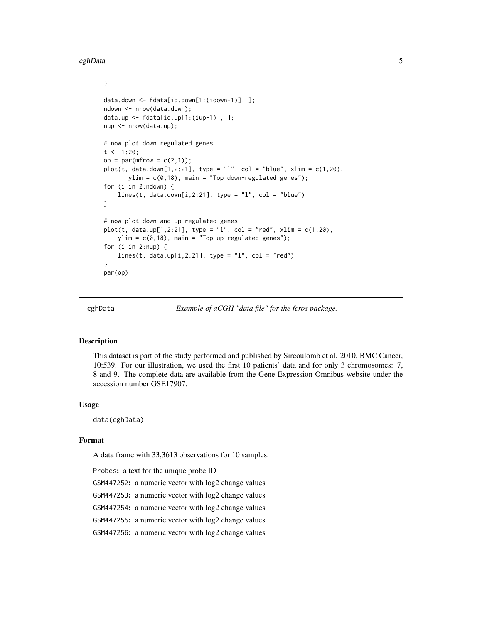#### <span id="page-4-0"></span>cghData 5

}

```
data.down <- fdata[id.down[1:(idown-1)], ];
ndown <- nrow(data.down);
data.up <- fdata[id.up[1:(iup-1)], ];
nup <- nrow(data.up);
# now plot down regulated genes
t < -1:20;
op = par(mfrow = c(2,1));plot(t, data.down[1,2:21], type = "l", col = "blue", xlim = c(1,20),ylim = c(0,18), main = "Top down-regulated genes");
for (i in 2:ndown) {
    lines(t, data.down[i,2:21], type = "l", col = "blue")
}
# now plot down and up regulated genes
plot(t, data.up[1,2:21], type = "1", col = "red", xlim = c(1,20),ylim = c(0,18), main = "Top up-regulated genes");
for (i in 2:nup) {
    lines(t, data.up[i,2:21], type = "1", col = "red")
}
par(op)
```
cghData *Example of aCGH "data file" for the fcros package.*

#### Description

This dataset is part of the study performed and published by Sircoulomb et al. 2010, BMC Cancer, 10:539. For our illustration, we used the first 10 patients' data and for only 3 chromosomes: 7, 8 and 9. The complete data are available from the Gene Expression Omnibus website under the accession number GSE17907.

#### Usage

data(cghData)

## Format

A data frame with 33,3613 observations for 10 samples.

Probes: a text for the unique probe ID GSM447252: a numeric vector with log2 change values GSM447253: a numeric vector with log2 change values GSM447254: a numeric vector with log2 change values GSM447255: a numeric vector with log2 change values GSM447256: a numeric vector with log2 change values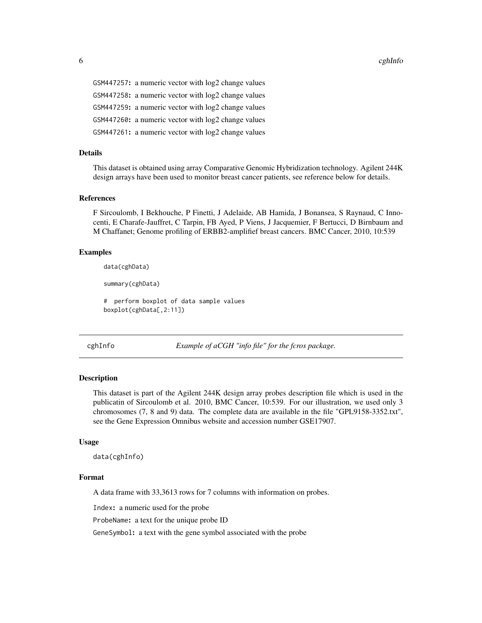<span id="page-5-0"></span>6 cghInfo cghInfo cghInfo cghInfo cghInfo cghInfo cghInfo cghInfo cghInfo cghInfo cghInfo cghInfo cghInfo cghInfo cghInfo cghInfo cghInfo cghInfo cghInfo cghInfo cghInfo cghInfo cghInfo cghInfo cghInfo cghInfo cghInfo cghI

GSM447257: a numeric vector with log2 change values GSM447258: a numeric vector with log2 change values GSM447259: a numeric vector with log2 change values GSM447260: a numeric vector with log2 change values GSM447261: a numeric vector with log2 change values

#### Details

This dataset is obtained using array Comparative Genomic Hybridization technology. Agilent 244K design arrays have been used to monitor breast cancer patients, see reference below for details.

#### References

F Sircoulomb, I Bekhouche, P Finetti, J Adelaide, AB Hamida, J Bonansea, S Raynaud, C Innocenti, E Charafe-Jauffret, C Tarpin, FB Ayed, P Viens, J Jacquemier, F Bertucci, D Birnbaum and M Chaffanet; Genome profiling of ERBB2-amplifief breast cancers. BMC Cancer, 2010, 10:539

#### Examples

data(cghData)

summary(cghData)

# perform boxplot of data sample values boxplot(cghData[,2:11])

cghInfo *Example of aCGH "info file" for the fcros package.*

#### **Description**

This dataset is part of the Agilent 244K design array probes description file which is used in the publicatin of Sircoulomb et al. 2010, BMC Cancer, 10:539. For our illustration, we used only 3 chromosomes (7, 8 and 9) data. The complete data are available in the file "GPL9158-3352.txt", see the Gene Expression Omnibus website and accession number GSE17907.

#### Usage

data(cghInfo)

#### Format

A data frame with 33,3613 rows for 7 columns with information on probes.

Index: a numeric used for the probe

ProbeName: a text for the unique probe ID

GeneSymbol: a text with the gene symbol associated with the probe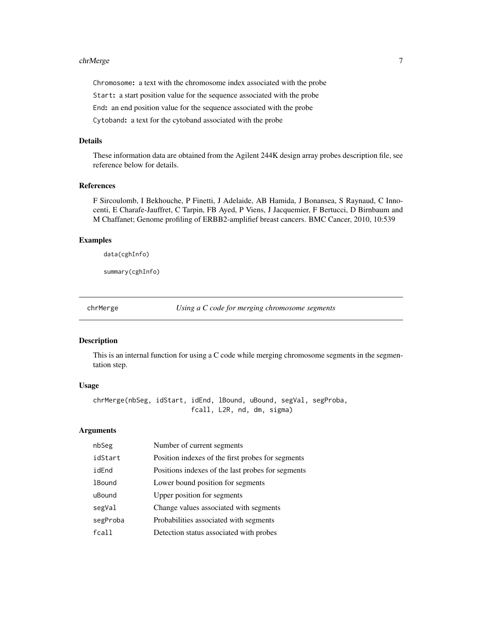#### <span id="page-6-0"></span>chrMerge 7 and 2012 19:30 the control of the control of the control of the control of the control of the control of the control of the control of the control of the control of the control of the control of the control of t

Chromosome: a text with the chromosome index associated with the probe

Start: a start position value for the sequence associated with the probe

End: an end position value for the sequence associated with the probe

Cytoband: a text for the cytoband associated with the probe

#### Details

These information data are obtained from the Agilent 244K design array probes description file, see reference below for details.

## References

F Sircoulomb, I Bekhouche, P Finetti, J Adelaide, AB Hamida, J Bonansea, S Raynaud, C Innocenti, E Charafe-Jauffret, C Tarpin, FB Ayed, P Viens, J Jacquemier, F Bertucci, D Birnbaum and M Chaffanet; Genome profiling of ERBB2-amplifief breast cancers. BMC Cancer, 2010, 10:539

## Examples

data(cghInfo)

summary(cghInfo)

chrMerge *Using a C code for merging chromosome segments*

#### Description

This is an internal function for using a C code while merging chromosome segments in the segmentation step.

#### Usage

chrMerge(nbSeg, idStart, idEnd, lBound, uBound, segVal, segProba, fcall, L2R, nd, dm, sigma)

## Arguments

| nbSeg         | Number of current segments                        |
|---------------|---------------------------------------------------|
| idStart       | Position indexes of the first probes for segments |
| idEnd         | Positions indexes of the last probes for segments |
| <b>1Bound</b> | Lower bound position for segments                 |
| uBound        | Upper position for segments                       |
| segVal        | Change values associated with segments            |
| segProba      | Probabilities associated with segments            |
| fca11         | Detection status associated with probes           |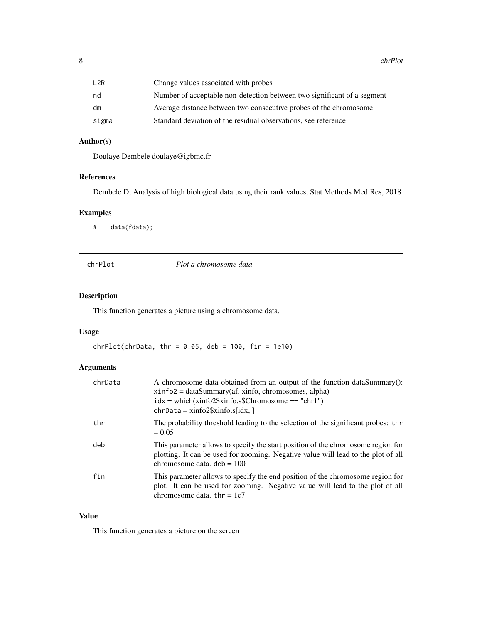<span id="page-7-0"></span>8 chrPlot control of the control of the control of the control of the control of the control of the control of the control of the control of the control of the control of the control of the control of the control of the co

| L2R   | Change values associated with probes                                    |
|-------|-------------------------------------------------------------------------|
| nd    | Number of acceptable non-detection between two significant of a segment |
| dm    | Average distance between two consecutive probes of the chromosome       |
| sigma | Standard deviation of the residual observations, see reference          |

## Author(s)

Doulaye Dembele doulaye@igbmc.fr

## References

Dembele D, Analysis of high biological data using their rank values, Stat Methods Med Res, 2018

## Examples

# data(fdata);

chrPlot *Plot a chromosome data*

## Description

This function generates a picture using a chromosome data.

## Usage

 $chrPlot(chrData, thr = 0.05, deb = 100, fin = 1e10)$ 

## Arguments

| chrData | A chromosome data obtained from an output of the function dataSummary():<br>$xinfo2 = dataSummary(af, xinfo, chromosomes, alpha)$<br>$idx = which(xinfo2\$ /sxinfo.s\$Chromosome == "chr1")<br>$chrData = xinfo2\$ s $xinfo.s$ [idx, ] |
|---------|----------------------------------------------------------------------------------------------------------------------------------------------------------------------------------------------------------------------------------------|
| thr     | The probability threshold leading to the selection of the significant probes: thr<br>$= 0.05$                                                                                                                                          |
| deb     | This parameter allows to specify the start position of the chromosome region for<br>plotting. It can be used for zooming. Negative value will lead to the plot of all<br>chromosome data, $deb = 100$                                  |
| fin     | This parameter allows to specify the end position of the chromosome region for<br>plot. It can be used for zooming. Negative value will lead to the plot of all<br>chromosome data. $thr = 1e7$                                        |

## Value

This function generates a picture on the screen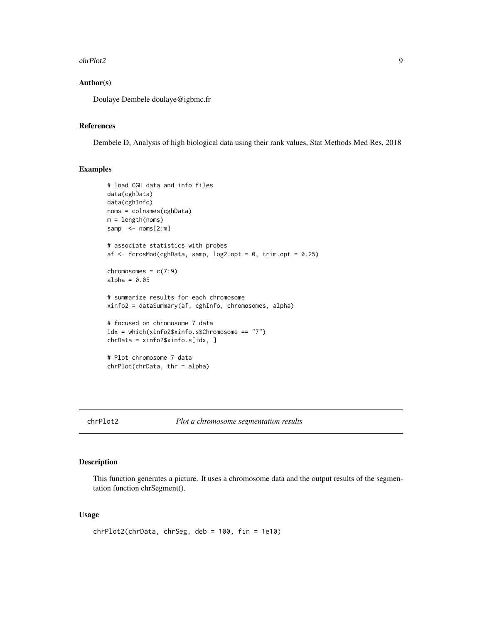#### <span id="page-8-0"></span>chrPlot2 9

## Author(s)

Doulaye Dembele doulaye@igbmc.fr

## References

Dembele D, Analysis of high biological data using their rank values, Stat Methods Med Res, 2018

## Examples

```
# load CGH data and info files
data(cghData)
data(cghInfo)
noms = colnames(cghData)
m = length(noms)
samp <- noms[2:m]
# associate statistics with probes
af <- fcrosMod(cghData, samp, log2.opt = 0, trim.opt = 0.25)
chromosomes = c(7:9)alpha = 0.05# summarize results for each chromosome
xinfo2 = dataSummary(af, cghInfo, chromosomes, alpha)
# focused on chromosome 7 data
idx = which(xinfo2$xinfo.s$Chromosome == "7")chrData = xinfo2$xinfo.s[idx, ]
# Plot chromosome 7 data
chrPlot(chrData, thr = alpha)
```
#### chrPlot2 *Plot a chromosome segmentation results*

#### Description

This function generates a picture. It uses a chromosome data and the output results of the segmentation function chrSegment().

#### Usage

```
chrPlot2(chrData, chrSeg, deb = 100, fin = 1e10)
```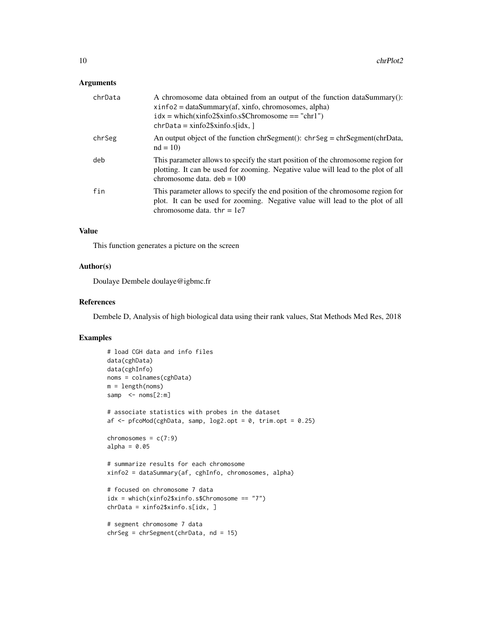#### Arguments

| chrData | A chromosome data obtained from an output of the function dataSummary():<br>$xinfo2 = dataSummary(af, xinfo, chromosomes, alpha)$<br>$idx = which(xinfo2\$ /sxinfo.s\$Chromosome == "chr1")<br>$chrData = xinfo2\$ sinfo.s[idx,] |
|---------|----------------------------------------------------------------------------------------------------------------------------------------------------------------------------------------------------------------------------------|
| chrSeg  | An output object of the function chrSegment(): chrSeg = chrSegment(chrData,<br>$nd = 10$                                                                                                                                         |
| deb     | This parameter allows to specify the start position of the chromosome region for<br>plotting. It can be used for zooming. Negative value will lead to the plot of all<br>chromosome data, $deb = 100$                            |
| fin     | This parameter allows to specify the end position of the chromosome region for<br>plot. It can be used for zooming. Negative value will lead to the plot of all<br>chromosome data, $thr = 1e7$                                  |

## Value

This function generates a picture on the screen

#### Author(s)

Doulaye Dembele doulaye@igbmc.fr

## References

Dembele D, Analysis of high biological data using their rank values, Stat Methods Med Res, 2018

## Examples

```
# load CGH data and info files
data(cghData)
data(cghInfo)
noms = colnames(cghData)
m = length(noms)
samp \leq noms[2:m]
# associate statistics with probes in the dataset
af \leq pfcoMod(cghData, samp, log2.opt = 0, trim.opt = 0.25)
chromosomes = c(7:9)alpha = 0.05# summarize results for each chromosome
xinfo2 = dataSummary(af, cghInfo, chromosomes, alpha)
# focused on chromosome 7 data
idx = which(xinfo2$xinfo.s$Chromosome == "7")chrData = xinfo2$xinfo.s[idx, ]
# segment chromosome 7 data
chrSeg = chrSegment(chrData, nd = 15)
```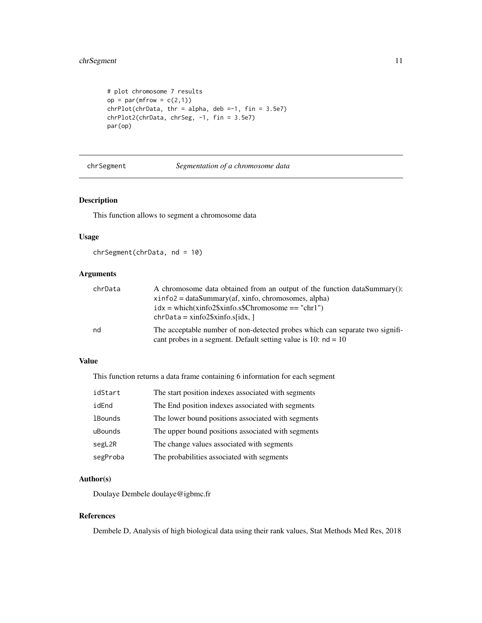```
# plot chromosome 7 results
op = par(mfrow = c(2,1))chrPlot(chrData, thr = alpha, deb = -1, fin = 3.5e7)chrPlot2(chrData, chrSeg, -1, fin = 3.5e7)
par(op)
```
chrSegment *Segmentation of a chromosome data*

## Description

This function allows to segment a chromosome data

#### Usage

chrSegment(chrData, nd = 10)

## Arguments

| chrData | A chromosome data obtained from an output of the function dataSummary():     |
|---------|------------------------------------------------------------------------------|
|         | $xinfo2 = dataSummary(af, xinfo, chromosomes, alpha)$                        |
|         | $idx = which(xinfo2\$ <i>x</i> info.s\$Chromosome == "chr1")                 |
|         | $chrData = xinfo2\$ sinfo.s[idx,]                                            |
| nd      | The acceptable number of non-detected probes which can separate two signifi- |
|         | cant probes in a segment. Default setting value is 10: $nd = 10$             |

#### Value

This function returns a data frame containing 6 information for each segment

| idStart        | The start position indexes associated with segments |
|----------------|-----------------------------------------------------|
| idEnd          | The End position indexes associated with segments   |
| <b>1Bounds</b> | The lower bound positions associated with segments  |
| uBounds        | The upper bound positions associated with segments  |
| segL2R         | The change values associated with segments          |
| segProba       | The probabilities associated with segments          |

## Author(s)

Doulaye Dembele doulaye@igbmc.fr

## References

Dembele D, Analysis of high biological data using their rank values, Stat Methods Med Res, 2018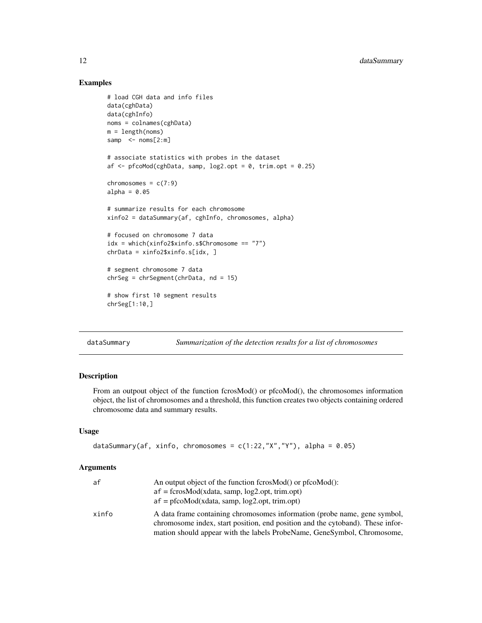## Examples

```
# load CGH data and info files
data(cghData)
data(cghInfo)
noms = colnames(cghData)
m = length(noms)
samp \leq noms[2:m]
# associate statistics with probes in the dataset
af \leq pfcoMod(cghData, samp, log2.opt = 0, trim.opt = 0.25)
chromosomes = c(7:9)alpha = 0.05# summarize results for each chromosome
xinfo2 = dataSummary(af, cghInfo, chromosomes, alpha)
# focused on chromosome 7 data
idx = which(xinfo2$xinfo.s$Chromosome == "7")chrData = xinfo2$xinfo.s[idx, ]
# segment chromosome 7 data
chrSeg = chrSegment(chrData, nd = 15)
# show first 10 segment results
chrSeg[1:10,]
```
dataSummary *Summarization of the detection results for a list of chromosomes*

## Description

From an outpout object of the function fcrosMod() or pfcoMod(), the chromosomes information object, the list of chromosomes and a threshold, this function creates two objects containing ordered chromosome data and summary results.

#### Usage

```
dataSummary(af, xinfo, chromosomes = c(1:22, "X", "Y"), alpha = 0.05)
```
## Arguments

| af    | An output object of the function fcrosMod() or pfcoMod():                      |
|-------|--------------------------------------------------------------------------------|
|       | $af = fcrossMod(xdata, samp, log2.opt, trim.opt)$                              |
|       | $af = pfcoMod(xdata, samp, log2.opt, trim.opt)$                                |
| xinfo | A data frame containing chromosomes information (probe name, gene symbol,      |
|       | chromosome index, start position, end position and the cytoband). These infor- |
|       | mation should appear with the labels ProbeName, GeneSymbol, Chromosome,        |

<span id="page-11-0"></span>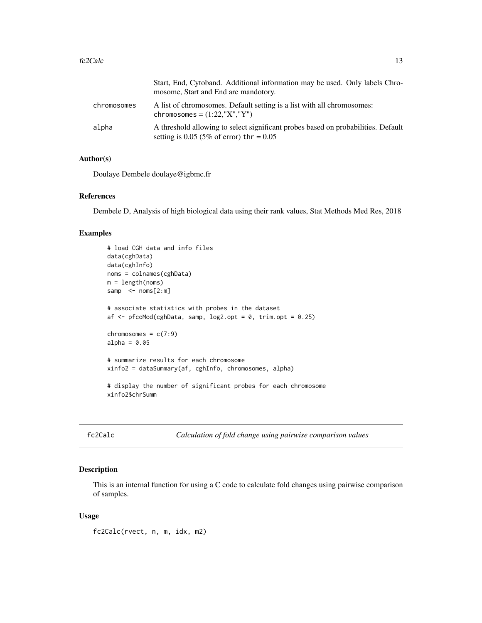<span id="page-12-0"></span>

|             | Start, End, Cytoband. Additional information may be used. Only labels Chro-<br>mosome, Start and End are mandotory.             |
|-------------|---------------------------------------------------------------------------------------------------------------------------------|
| chromosomes | A list of chromosomes. Default setting is a list with all chromosomes:<br>chromosomes = $(1:22,"X", "Y")$                       |
| alpha       | A threshold allowing to select significant probes based on probabilities. Default<br>setting is 0.05 (5% of error) thr = $0.05$ |

#### Author(s)

Doulaye Dembele doulaye@igbmc.fr

## References

Dembele D, Analysis of high biological data using their rank values, Stat Methods Med Res, 2018

## Examples

```
# load CGH data and info files
data(cghData)
data(cghInfo)
noms = colnames(cghData)
m = length(noms)
samp \leq noms[2:m]
# associate statistics with probes in the dataset
af \leq pfcoMod(cghData, samp, log2.opt = 0, trim.opt = 0.25)
chromosomes = c(7:9)alpha = 0.05# summarize results for each chromosome
xinfo2 = dataSummary(af, cghInfo, chromosomes, alpha)
# display the number of significant probes for each chromosome
xinfo2$chrSumm
```
fc2Calc *Calculation of fold change using pairwise comparison values*

#### Description

This is an internal function for using a C code to calculate fold changes using pairwise comparison of samples.

#### Usage

fc2Calc(rvect, n, m, idx, m2)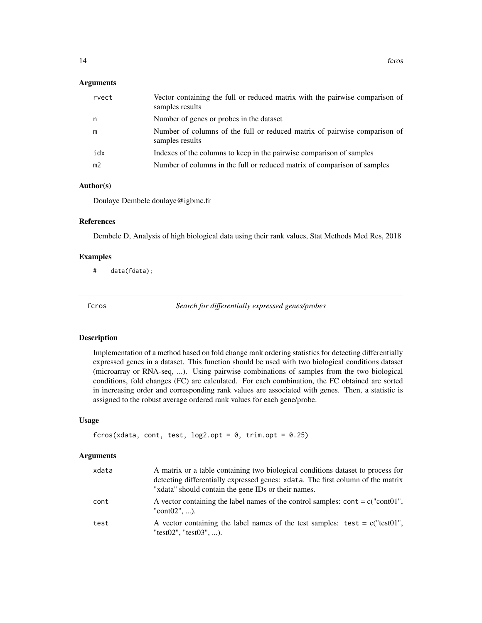#### <span id="page-13-0"></span>**Arguments**

| rvect          | Vector containing the full or reduced matrix with the pairwise comparison of<br>samples results |
|----------------|-------------------------------------------------------------------------------------------------|
| n.             | Number of genes or probes in the dataset                                                        |
| m              | Number of columns of the full or reduced matrix of pairwise comparison of<br>samples results    |
| idx            | Indexes of the columns to keep in the pairwise comparison of samples                            |
| m <sub>2</sub> | Number of columns in the full or reduced matrix of comparison of samples                        |

## Author(s)

Doulaye Dembele doulaye@igbmc.fr

## References

Dembele D, Analysis of high biological data using their rank values, Stat Methods Med Res, 2018

#### Examples

# data(fdata);

fcros *Search for differentially expressed genes/probes*

## Description

Implementation of a method based on fold change rank ordering statistics for detecting differentially expressed genes in a dataset. This function should be used with two biological conditions dataset (microarray or RNA-seq, ...). Using pairwise combinations of samples from the two biological conditions, fold changes (FC) are calculated. For each combination, the FC obtained are sorted in increasing order and corresponding rank values are associated with genes. Then, a statistic is assigned to the robust average ordered rank values for each gene/probe.

## Usage

```
fcros(xdata, cont, test, log2.opt = 0, trim.opt = 0.25)
```
## Arguments

| xdata | A matrix or a table containing two biological conditions dataset to process for<br>detecting differentially expressed genes: xdata. The first column of the matrix<br>"xdata" should contain the gene IDs or their names. |
|-------|---------------------------------------------------------------------------------------------------------------------------------------------------------------------------------------------------------------------------|
| cont  | A vector containing the label names of the control samples: cont = $c("cont01",$<br>"cont $02$ ", ).                                                                                                                      |
| test  | A vector containing the label names of the test samples: test = $c("test01",$<br>"test02", "test03", ).                                                                                                                   |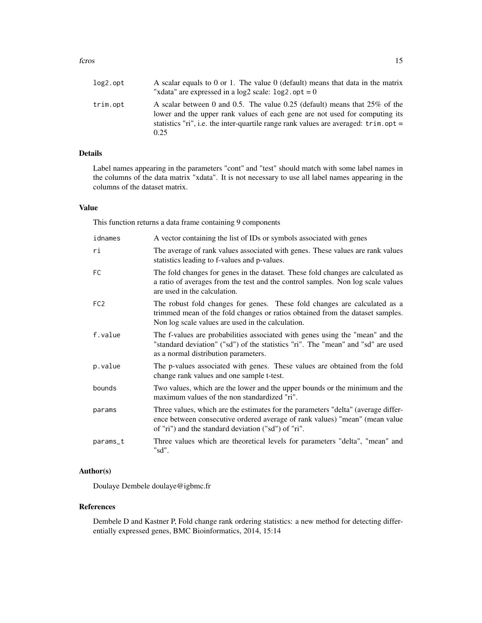#### fcros and the state of the state of the state of the state of the state of the state of the state of the state of the state of the state of the state of the state of the state of the state of the state of the state of the

| log2.opt | A scalar equals to 0 or 1. The value 0 (default) means that data in the matrix<br>"xdata" are expressed in a $log2$ scale: $log2$ . $opt = 0$                                                                                                                               |
|----------|-----------------------------------------------------------------------------------------------------------------------------------------------------------------------------------------------------------------------------------------------------------------------------|
| trim.opt | A scalar between 0 and 0.5. The value 0.25 (default) means that $25\%$ of the<br>lower and the upper rank values of each gene are not used for computing its<br>statistics "ri", i.e. the inter-quartile range rank values are averaged: $\text{trim}.\text{opt} =$<br>0.25 |

## Details

Label names appearing in the parameters "cont" and "test" should match with some label names in the columns of the data matrix "xdata". It is not necessary to use all label names appearing in the columns of the dataset matrix.

## Value

This function returns a data frame containing 9 components

| idnames         | A vector containing the list of IDs or symbols associated with genes                                                                                                                                                    |
|-----------------|-------------------------------------------------------------------------------------------------------------------------------------------------------------------------------------------------------------------------|
| ri              | The average of rank values associated with genes. These values are rank values<br>statistics leading to f-values and p-values.                                                                                          |
| <b>FC</b>       | The fold changes for genes in the dataset. These fold changes are calculated as<br>a ratio of averages from the test and the control samples. Non log scale values<br>are used in the calculation.                      |
| FC <sub>2</sub> | The robust fold changes for genes. These fold changes are calculated as a<br>trimmed mean of the fold changes or ratios obtained from the dataset samples.<br>Non log scale values are used in the calculation.         |
| f.value         | The f-values are probabilities associated with genes using the "mean" and the<br>"standard deviation" ("sd") of the statistics "ri". The "mean" and "sd" are used<br>as a normal distribution parameters.               |
| p.value         | The p-values associated with genes. These values are obtained from the fold<br>change rank values and one sample t-test.                                                                                                |
| bounds          | Two values, which are the lower and the upper bounds or the minimum and the<br>maximum values of the non standardized "ri".                                                                                             |
| params          | Three values, which are the estimates for the parameters "delta" (average differ-<br>ence between consecutive ordered average of rank values) "mean" (mean value<br>of "ri") and the standard deviation ("sd") of "ri". |
| params_t        | Three values which are theoretical levels for parameters "delta", "mean" and<br>"sd".                                                                                                                                   |

## Author(s)

Doulaye Dembele doulaye@igbmc.fr

## References

Dembele D and Kastner P, Fold change rank ordering statistics: a new method for detecting differentially expressed genes, BMC Bioinformatics, 2014, 15:14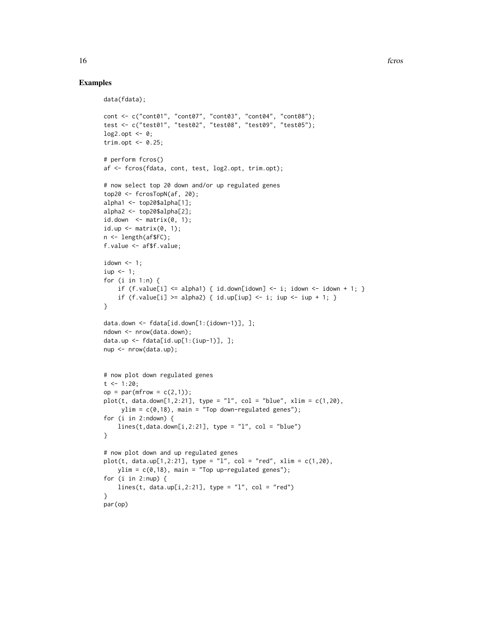## Examples

```
data(fdata);
cont <- c("cont01", "cont07", "cont03", "cont04", "cont08");
test <- c("test01", "test02", "test08", "test09", "test05");
\log 2.opt <- 0;
trim.opt \leq -0.25;
# perform fcros()
af <- fcros(fdata, cont, test, log2.opt, trim.opt);
# now select top 20 down and/or up regulated genes
top20 <- fcrosTopN(af, 20);
alpha1 <- top20$alpha[1];
alpha2 <- top20$alpha[2];
id.down \leftarrow matrix(0, 1);id.up \leq matrix(0, 1);
n <- length(af$FC);
f.value <- af$f.value;
idown \leq -1;
iup < -1;for (i in 1:n) {
    if (f.value[i] \leq alpha1) \{ id.down[idom] \leq -i; idown \leq idown + 1; \}if (f.value[i] >= alpha2) { id.up[iup] <- i; iup <- iup + 1; }
}
data.down <- fdata[id.down[1:(idown-1)], ];
ndown <- nrow(data.down);
data.up <- fdata[id.up[1:(iup-1)], ];
nup <- nrow(data.up);
# now plot down regulated genes
t <- 1:20;
op = par(mfrow = c(2,1));plot(t, data.down[1,2:21], type = "l", col = "blue", xlim = c(1,20),ylim = c(0, 18), main = "Top down-regulated genes");
for (i in 2:ndown) {
    lines(t, data.down[i,2:21], type = "l", col = "blue")}
# now plot down and up regulated genes
plot(t, data.up[1, 2:21], type = "l", col = "red", xlim = c(1, 20),ylim = c(0,18), main = "Top up-regulated genes");
for (i in 2:nup) {
    lines(t, data.up[i,2:21], type = "l", col = "red")}
par(op)
```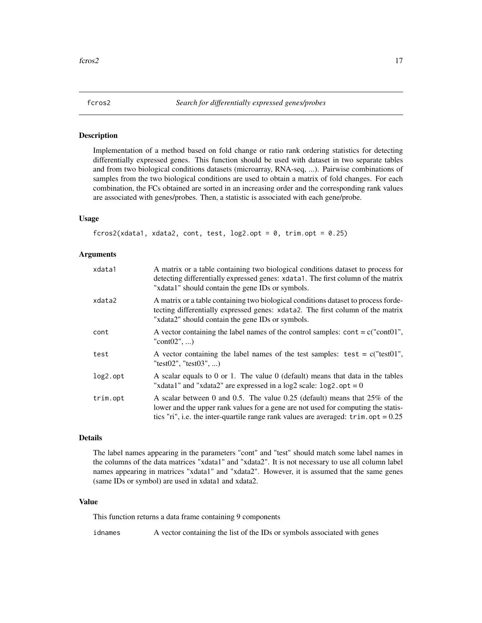<span id="page-16-0"></span>

#### Description

Implementation of a method based on fold change or ratio rank ordering statistics for detecting differentially expressed genes. This function should be used with dataset in two separate tables and from two biological conditions datasets (microarray, RNA-seq, ...). Pairwise combinations of samples from the two biological conditions are used to obtain a matrix of fold changes. For each combination, the FCs obtained are sorted in an increasing order and the corresponding rank values are associated with genes/probes. Then, a statistic is associated with each gene/probe.

#### Usage

```
fcros2(xdata1, xdata2, cont, test, log2.opt = 0, trim.opt = 0.25)
```
#### Arguments

| xdata1      | A matrix or a table containing two biological conditions dataset to process for<br>detecting differentially expressed genes: xdata1. The first column of the matrix<br>"xdata1" should contain the gene IDs or symbols.                                                  |
|-------------|--------------------------------------------------------------------------------------------------------------------------------------------------------------------------------------------------------------------------------------------------------------------------|
| xdata2      | A matrix or a table containing two biological conditions dataset to process for de-<br>tecting differentially expressed genes: xdata2. The first column of the matrix<br>"xdata2" should contain the gene IDs or symbols.                                                |
| cont        | A vector containing the label names of the control samples: $\text{cont} = \text{c}(\text{"cont}01",$<br>"cont $(02", )$                                                                                                                                                 |
| test        | A vector containing the label names of the test samples: test = $c("test01",$<br>"test02", "test03", )                                                                                                                                                                   |
| $log2.$ opt | A scalar equals to 0 or 1. The value 0 (default) means that data in the tables<br>"xdata1" and "xdata2" are expressed in a $log2$ scale: $log2$ . $opt = 0$                                                                                                              |
| trim.opt    | A scalar between 0 and 0.5. The value 0.25 (default) means that $25\%$ of the<br>lower and the upper rank values for a gene are not used for computing the statis-<br>tics "ri", i.e. the inter-quartile range rank values are averaged: $\text{trim}.\text{opt} = 0.25$ |

## Details

The label names appearing in the parameters "cont" and "test" should match some label names in the columns of the data matrices "xdata1" and "xdata2". It is not necessary to use all column label names appearing in matrices "xdata1" and "xdata2". However, it is assumed that the same genes (same IDs or symbol) are used in xdata1 and xdata2.

## Value

This function returns a data frame containing 9 components

idnames A vector containing the list of the IDs or symbols associated with genes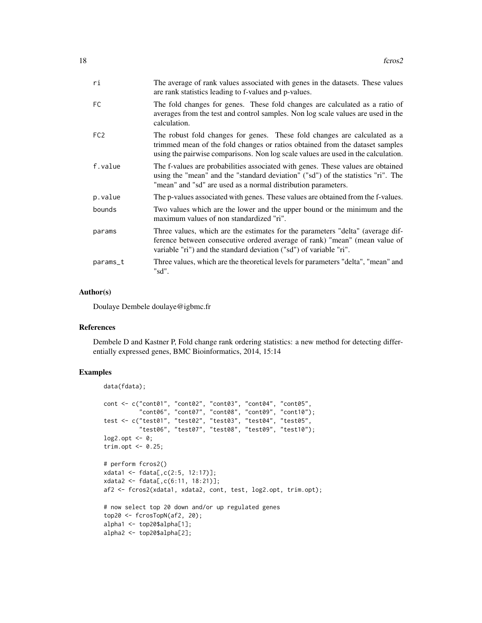| ri              | The average of rank values associated with genes in the datasets. These values<br>are rank statistics leading to f-values and p-values.                                                                                                        |
|-----------------|------------------------------------------------------------------------------------------------------------------------------------------------------------------------------------------------------------------------------------------------|
| FC.             | The fold changes for genes. These fold changes are calculated as a ratio of<br>averages from the test and control samples. Non log scale values are used in the<br>calculation.                                                                |
| FC <sub>2</sub> | The robust fold changes for genes. These fold changes are calculated as a<br>trimmed mean of the fold changes or ratios obtained from the dataset samples<br>using the pairwise comparisons. Non log scale values are used in the calculation. |
| f.value         | The f-values are probabilities associated with genes. These values are obtained<br>using the "mean" and the "standard deviation" ("sd") of the statistics "ri". The<br>"mean" and "sd" are used as a normal distribution parameters.           |
| p.value         | The p-values associated with genes. These values are obtained from the f-values.                                                                                                                                                               |
| bounds          | Two values which are the lower and the upper bound or the minimum and the<br>maximum values of non standardized "ri".                                                                                                                          |
| params          | Three values, which are the estimates for the parameters "delta" (average dif-<br>ference between consecutive ordered average of rank) "mean" (mean value of<br>variable "ri") and the standard deviation ("sd") of variable "ri".             |
| params_t        | Three values, which are the theoretical levels for parameters "delta", "mean" and<br>"sd".                                                                                                                                                     |

#### Author(s)

Doulaye Dembele doulaye@igbmc.fr

#### References

Dembele D and Kastner P, Fold change rank ordering statistics: a new method for detecting differentially expressed genes, BMC Bioinformatics, 2014, 15:14

## Examples

```
data(fdata);
cont <- c("cont01", "cont02", "cont03", "cont04", "cont05",
          "cont06", "cont07", "cont08", "cont09", "cont10");
test <- c("test01", "test02", "test03", "test04", "test05",
          "test06", "test07", "test08", "test09", "test10");
log2.opt <- 0;
trim.opt \leq -0.25;
# perform fcros2()
xdata1 <- fdata[,c(2:5, 12:17)];
xdata2 <- fdata[,c(6:11, 18:21)];
af2 <- fcros2(xdata1, xdata2, cont, test, log2.opt, trim.opt);
# now select top 20 down and/or up regulated genes
top20 \leq fcrosTopN(af2, 20);
alpha1 <- top20$alpha[1];
alpha2 <- top20$alpha[2];
```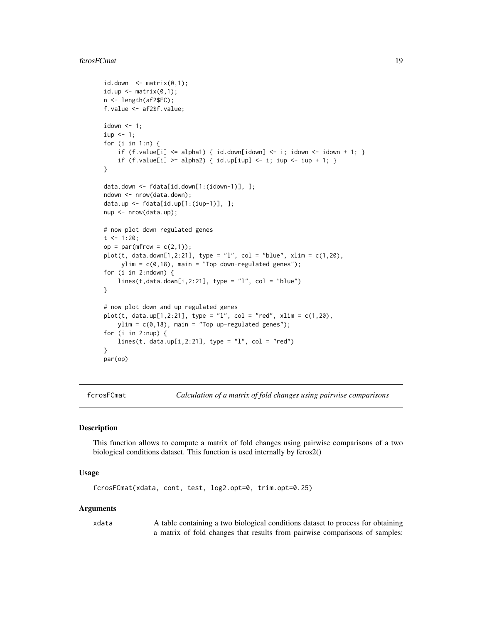#### <span id="page-18-0"></span>fcrosFCmat 19

```
id.down \leq matrix(0,1);
id.up \leq matrix(0,1);
n <- length(af2$FC);
f.value <- af2$f.value;
idown < -1;iup < -1;for (i in 1:n) {
    if (f.value[i] \le alpha1) { id.down[idown] \le- i; idown \le- idown + 1; }
    if (f.value[i] >= alpha2) { id.up[iup] <- i; iup <- iup + 1; }
}
data.down <- fdata[id.down[1:(idown-1)], ];
ndown <- nrow(data.down);
data.up <- fdata[id.up[1:(iup-1)], ];
nup <- nrow(data.up);
# now plot down regulated genes
t < -1:20;op = par(mfrow = c(2,1));plot(t, data.down[1,2:21], type = "l", col = "blue", xlim = c(1,20),ylim = c(0,18), main = "Top down-regulated genes");
for (i in 2:ndown) {
    lines(t, data.down[i,2:21], type = "l", col = "blue")}
# now plot down and up regulated genes
plot(t, data.up[1,2:21], type = "1", col = "red", xlim = c(1,20),ylim = c(0,18), main = "Top up-regulated genes");
for (i in 2:nup) {
   lines(t, data.up[i,2:21], type = "l", col = "red")
}
par(op)
```
fcrosFCmat *Calculation of a matrix of fold changes using pairwise comparisons*

#### **Description**

This function allows to compute a matrix of fold changes using pairwise comparisons of a two biological conditions dataset. This function is used internally by fcros2()

#### Usage

fcrosFCmat(xdata, cont, test, log2.opt=0, trim.opt=0.25)

#### Arguments

xdata A table containing a two biological conditions dataset to process for obtaining a matrix of fold changes that results from pairwise comparisons of samples: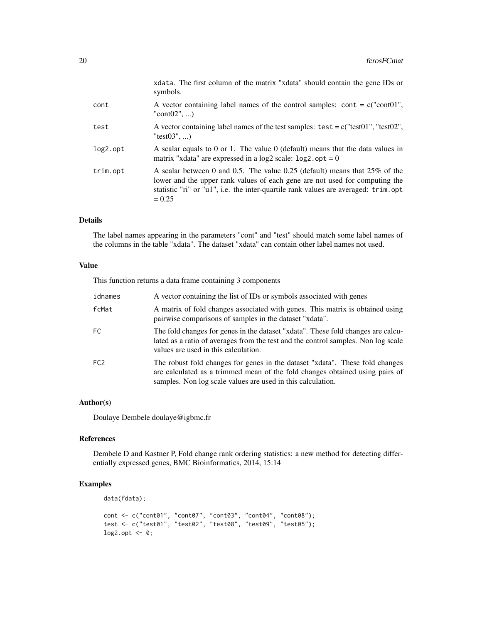|             | xdata. The first column of the matrix "xdata" should contain the gene IDs or<br>symbols.                                                                                                                                                                       |
|-------------|----------------------------------------------------------------------------------------------------------------------------------------------------------------------------------------------------------------------------------------------------------------|
| cont        | A vector containing label names of the control samples: cont = $c("cont01",$<br>" $cont02$ ", )                                                                                                                                                                |
| test        | A vector containing label names of the test samples: $test = c("test01", "test02",$<br>"test $(03", )$                                                                                                                                                         |
| $log2.$ opt | A scalar equals to 0 or 1. The value $0$ (default) means that the data values in<br>matrix "xdata" are expressed in a $log2$ scale: $log2$ . $opt = 0$                                                                                                         |
| trim.opt    | A scalar between 0 and 0.5. The value 0.25 (default) means that $25\%$ of the<br>lower and the upper rank values of each gene are not used for computing the<br>statistic "ri" or "u1", i.e. the inter-quartile rank values are averaged: trim.opt<br>$= 0.25$ |

## Details

The label names appearing in the parameters "cont" and "test" should match some label names of the columns in the table "xdata". The dataset "xdata" can contain other label names not used.

#### Value

This function returns a data frame containing 3 components

| idnames         | A vector containing the list of IDs or symbols associated with genes                                                                                                                                                        |
|-----------------|-----------------------------------------------------------------------------------------------------------------------------------------------------------------------------------------------------------------------------|
| fcMat           | A matrix of fold changes associated with genes. This matrix is obtained using<br>pairwise comparisons of samples in the dataset "xdata".                                                                                    |
| FC.             | The fold changes for genes in the dataset "xdata". These fold changes are calcu-<br>lated as a ratio of averages from the test and the control samples. Non log scale<br>values are used in this calculation.               |
| FC <sub>2</sub> | The robust fold changes for genes in the dataset "xdata". These fold changes<br>are calculated as a trimmed mean of the fold changes obtained using pairs of<br>samples. Non log scale values are used in this calculation. |

## Author(s)

Doulaye Dembele doulaye@igbmc.fr

### References

Dembele D and Kastner P, Fold change rank ordering statistics: a new method for detecting differentially expressed genes, BMC Bioinformatics, 2014, 15:14

## Examples

```
data(fdata);
```

```
cont <- c("cont01", "cont07", "cont03", "cont04", "cont08");
test <- c("test01", "test02", "test08", "test09", "test05");
log2.opt <- 0;
```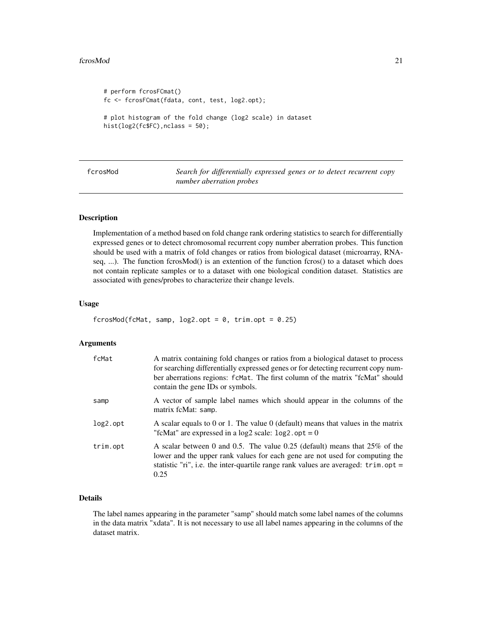#### <span id="page-20-0"></span>fcrosMod 21

```
# perform fcrosFCmat()
fc <- fcrosFCmat(fdata, cont, test, log2.opt);
# plot histogram of the fold change (log2 scale) in dataset
hist(log2(fc$FC),nclass = 50);
```

| fcrosMod | Search for differentially expressed genes or to detect recurrent copy |
|----------|-----------------------------------------------------------------------|
|          | number aberration probes                                              |

#### Description

Implementation of a method based on fold change rank ordering statistics to search for differentially expressed genes or to detect chromosomal recurrent copy number aberration probes. This function should be used with a matrix of fold changes or ratios from biological dataset (microarray, RNAseq, ...). The function fcrosMod() is an extention of the function fcros() to a dataset which does not contain replicate samples or to a dataset with one biological condition dataset. Statistics are associated with genes/probes to characterize their change levels.

## Usage

```
fcrosMod(fcMat, samp, log2.opt = 0, trim.opt = 0.25)
```
## Arguments

| fcMat       | A matrix containing fold changes or ratios from a biological dataset to process<br>for searching differentially expressed genes or for detecting recurrent copy num-<br>ber aberrations regions: fcMat. The first column of the matrix "fcMat" should<br>contain the gene IDs or symbols. |
|-------------|-------------------------------------------------------------------------------------------------------------------------------------------------------------------------------------------------------------------------------------------------------------------------------------------|
| samp        | A vector of sample label names which should appear in the columns of the<br>matrix fcMat: samp.                                                                                                                                                                                           |
| $log2.$ opt | A scalar equals to 0 or 1. The value 0 (default) means that values in the matrix<br>"fcMat" are expressed in a log2 scale: $log2$ . opt = 0                                                                                                                                               |
| trim.opt    | A scalar between 0 and 0.5. The value 0.25 (default) means that $25\%$ of the<br>lower and the upper rank values for each gene are not used for computing the<br>statistic "ri", i.e. the inter-quartile range rank values are averaged: $\text{trim}.\text{opt} =$<br>0.25               |

## Details

The label names appearing in the parameter "samp" should match some label names of the columns in the data matrix "xdata". It is not necessary to use all label names appearing in the columns of the dataset matrix.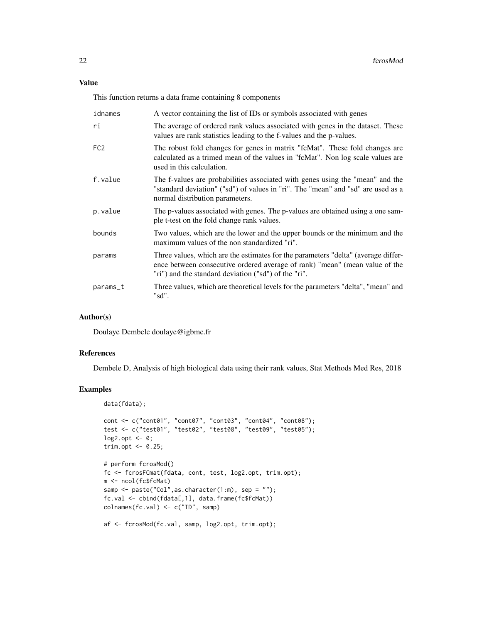This function returns a data frame containing 8 components

| idnames         | A vector containing the list of IDs or symbols associated with genes                                                                                                                                                     |
|-----------------|--------------------------------------------------------------------------------------------------------------------------------------------------------------------------------------------------------------------------|
| ri              | The average of ordered rank values associated with genes in the dataset. These<br>values are rank statistics leading to the f-values and the p-values.                                                                   |
| FC <sub>2</sub> | The robust fold changes for genes in matrix "fcMat". These fold changes are<br>calculated as a trimed mean of the values in "fcMat". Non log scale values are<br>used in this calculation.                               |
| f.value         | The f-values are probabilities associated with genes using the "mean" and the<br>"standard deviation" ("sd") of values in "ri". The "mean" and "sd" are used as a<br>normal distribution parameters.                     |
| p.value         | The p-values associated with genes. The p-values are obtained using a one sam-<br>ple t-test on the fold change rank values.                                                                                             |
| bounds          | Two values, which are the lower and the upper bounds or the minimum and the<br>maximum values of the non standardized "ri".                                                                                              |
| params          | Three values, which are the estimates for the parameters "delta" (average differ-<br>ence between consecutive ordered average of rank) "mean" (mean value of the<br>"ri") and the standard deviation ("sd") of the "ri". |
| params_t        | Three values, which are theoretical levels for the parameters "delta", "mean" and<br>"sd".                                                                                                                               |

#### Author(s)

Doulaye Dembele doulaye@igbmc.fr

#### References

Dembele D, Analysis of high biological data using their rank values, Stat Methods Med Res, 2018

## Examples

```
data(fdata);
cont <- c("cont01", "cont07", "cont03", "cont04", "cont08");
test <- c("test01", "test02", "test08", "test09", "test05");
log2.opt <- 0;
trim.opt \leq -0.25;
# perform fcrosMod()
fc <- fcrosFCmat(fdata, cont, test, log2.opt, trim.opt);
m <- ncol(fc$fcMat)
samp <- paste("Col", as. character(1:m), sep = "");
fc.val <- cbind(fdata[,1], data.frame(fc$fcMat))
\text{columns}(fc.val) \leftarrow c("ID", \text{ samp})af <- fcrosMod(fc.val, samp, log2.opt, trim.opt);
```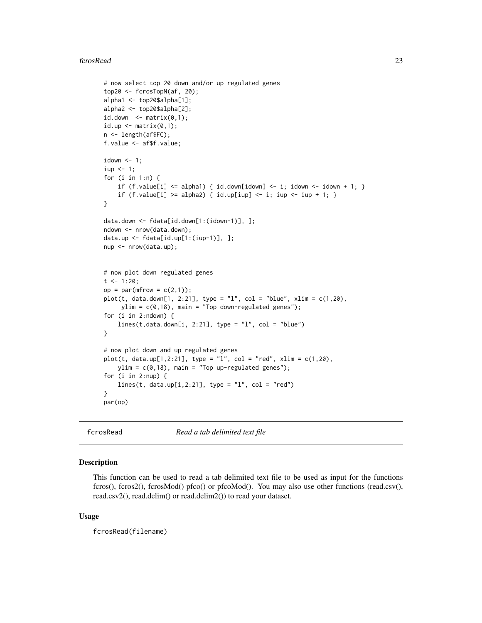#### <span id="page-22-0"></span>fcrosRead 23

```
# now select top 20 down and/or up regulated genes
top20 <- fcrosTopN(af, 20);
alpha1 <- top20$alpha[1];
alpha2 <- top20$alpha[2];
id.down \leq matrix(0,1);
id.up \leq matrix(0,1);
n <- length(af$FC);
f.value <- af$f.value;
idown <-1;
iup < -1;for (i in 1:n) {
    if (f.value[i] <= alpha1) { id.down[i] <- i; idown <- i idown <- idown + 1; }
    if (f.value[i] >= alpha2) { id.up[iup] < -i; iup < -iup + 1; }
}
data.down <- fdata[id.down[1:(idown-1)], ];
ndown <- nrow(data.down);
data.up <- fdata[id.up[1:(iup-1)], ];
nup <- nrow(data.up);
# now plot down regulated genes
t <- 1:20;
op = par(mfrow = c(2,1));plot(t, data.down[1, 2:21], type = "1", col = "blue", xlim = c(1,20),ylim = c(0,18), main = "Top down-regulated genes");
for (i in 2:ndown) {
    lines(t, data.down[i, 2:21], type = "l", col = "blue")}
# now plot down and up regulated genes
plot(t, data.up[1, 2:21], type = "l", col = "red", xlim = c(1, 20),ylim = c(0,18), main = "Top up-regulated genes");
for (i in 2:nup) {
    lines(t, data.up[i,2:21], type = "l", col = "red")}
par(op)
```
fcrosRead *Read a tab delimited text file*

#### Description

This function can be used to read a tab delimited text file to be used as input for the functions fcros(), fcros2(), fcrosMod() pfco() or pfcoMod(). You may also use other functions (read.csv(), read.csv2(), read.delim() or read.delim2()) to read your dataset.

#### Usage

fcrosRead(filename)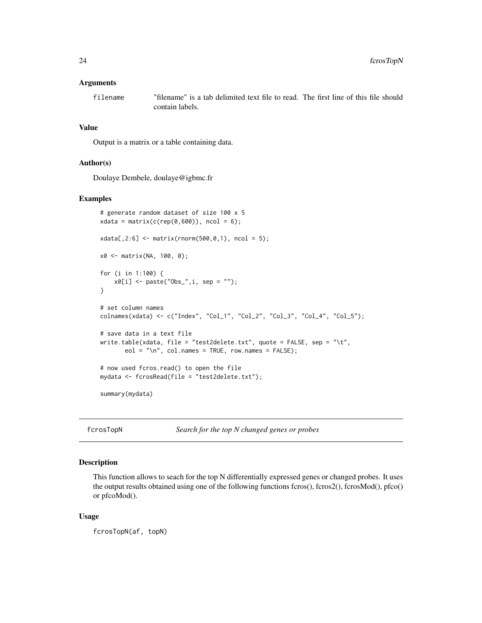#### <span id="page-23-0"></span>Arguments

filename "filename" is a tab delimited text file to read. The first line of this file should contain labels.

#### Value

Output is a matrix or a table containing data.

#### Author(s)

Doulaye Dembele, doulaye@igbmc.fr

## Examples

```
# generate random dataset of size 100 x 5
xdata = matrix(c(rep(\theta, 600)), ncol = 6);xdata[, 2:6] < - matrix(rnorm(500,0,1), ncol = 5);
x0 <- matrix(NA, 100, 0);
for (i in 1:100) {
    x0[i] <- paste("Obs_", i, sep = "");
}
# set column names
colnames(xdata) <- c("Index", "Col_1", "Col_2", "Col_3", "Col_4", "Col_5");
# save data in a text file
write.table(xdata, file = "test2delete.txt", quote = FALSE, sep = "\t",
       eol = "n", col.name = TRUE, row.name = FALSE);# now used fcros.read() to open the file
mydata <- fcrosRead(file = "test2delete.txt");
summary(mydata)
```
fcrosTopN *Search for the top N changed genes or probes*

#### Description

This function allows to seach for the top N differentially expressed genes or changed probes. It uses the output results obtained using one of the following functions fcros(), fcros2(), fcrosMod(), pfco() or pfcoMod().

#### Usage

fcrosTopN(af, topN)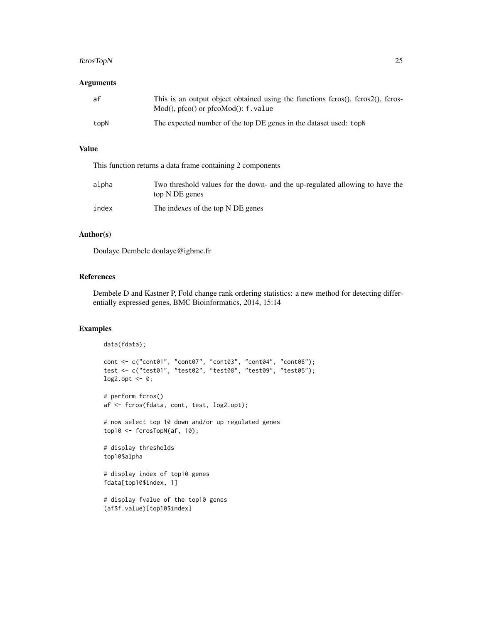## fcrosTopN 25

## Arguments

| af   | This is an output object obtained using the functions fcros(), fcros2(), fcros-<br>$Mod()$ , pfco $()$ or pfco $Mod()$ : f value |
|------|----------------------------------------------------------------------------------------------------------------------------------|
| topN | The expected number of the top DE genes in the dataset used: topN                                                                |

#### Value

This function returns a data frame containing 2 components

| alpha | Two threshold values for the down- and the up-regulated allowing to have the<br>top N DE genes |
|-------|------------------------------------------------------------------------------------------------|
| index | The indexes of the top N DE genes                                                              |

#### Author(s)

Doulaye Dembele doulaye@igbmc.fr

## References

Dembele D and Kastner P, Fold change rank ordering statistics: a new method for detecting differentially expressed genes, BMC Bioinformatics, 2014, 15:14

## Examples

```
data(fdata);
cont <- c("cont01", "cont07", "cont03", "cont04", "cont08");
test <- c("test01", "test02", "test08", "test09", "test05");
log2.opt <- 0;
# perform fcros()
af <- fcros(fdata, cont, test, log2.opt);
# now select top 10 down and/or up regulated genes
top10 <- fcrosTopN(af, 10);
# display thresholds
top10$alpha
# display index of top10 genes
fdata[top10$index, 1]
# display fvalue of the top10 genes
(af$f.value)[top10$index]
```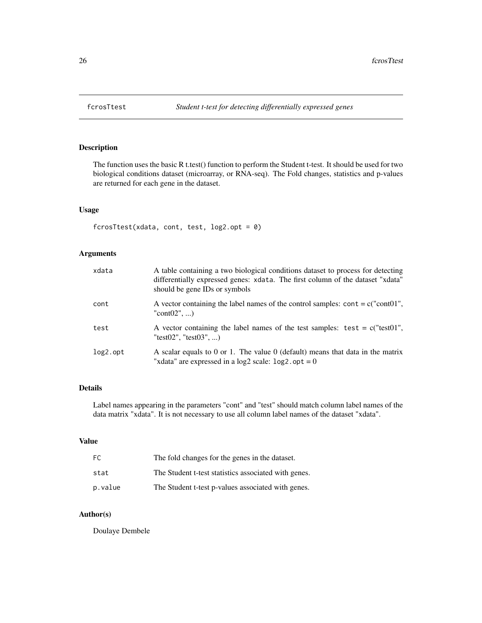<span id="page-25-0"></span>

## Description

The function uses the basic R t.test() function to perform the Student t-test. It should be used for two biological conditions dataset (microarray, or RNA-seq). The Fold changes, statistics and p-values are returned for each gene in the dataset.

## Usage

fcrosTtest(xdata, cont, test, log2.opt = 0)

## Arguments

| xdata       | A table containing a two biological conditions dataset to process for detecting<br>differentially expressed genes: xdata. The first column of the dataset "xdata"<br>should be gene IDs or symbols |
|-------------|----------------------------------------------------------------------------------------------------------------------------------------------------------------------------------------------------|
| cont        | A vector containing the label names of the control samples: cont = $c("cont01",$<br>"cont $02$ ", )                                                                                                |
| test        | A vector containing the label names of the test samples: test = $c("test01",$<br>"test02". "test03". )                                                                                             |
| $log2.$ opt | A scalar equals to 0 or 1. The value 0 (default) means that data in the matrix<br>"xdata" are expressed in a $log2$ scale: $log2$ . $opt = 0$                                                      |

## Details

Label names appearing in the parameters "cont" and "test" should match column label names of the data matrix "xdata". It is not necessary to use all column label names of the dataset "xdata".

## Value

| FC.     | The fold changes for the genes in the dataset.       |
|---------|------------------------------------------------------|
| stat    | The Student t-test statistics associated with genes. |
| p.value | The Student t-test p-values associated with genes.   |

## Author(s)

Doulaye Dembele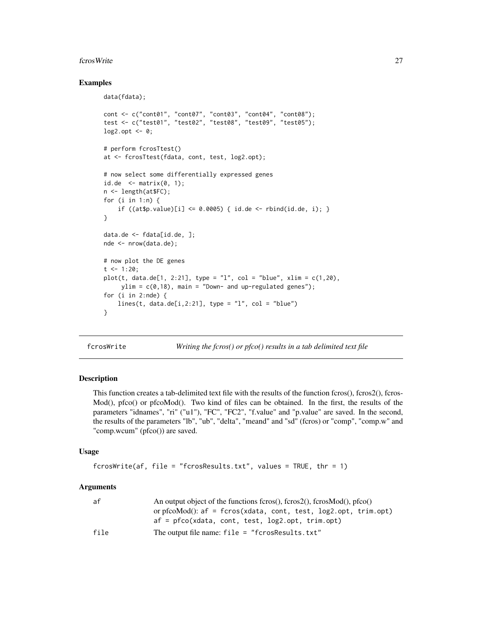#### <span id="page-26-0"></span>fcrosWrite 27

#### Examples

```
data(fdata);
cont <- c("cont01", "cont07", "cont03", "cont04", "cont08");
test <- c("test01", "test02", "test08", "test09", "test05");
log2.opt \leq -0;
# perform fcrosTtest()
at <- fcrosTtest(fdata, cont, test, log2.opt);
# now select some differentially expressed genes
id.de \leq matrix(0, 1);
n <- length(at$FC);
for (i in 1:n) {
    if ((at\{sp.value})[i] \le 0.0005) { id.de <- rbind(id.de, i); }
}
data.de <- fdata[id.de, ];
nde <- nrow(data.de);
# now plot the DE genes
t <- 1:20;
plot(t, data.de[1, 2:21], type = "1", col = "blue", xlim = c(1,20),ylim = c(0, 18), main = "Down- and up-regulated genes");
for (i in 2:nde) {
    lines(t, data.de[i,2:21], type = "l", col = "blue")}
```
fcrosWrite *Writing the fcros() or pfco() results in a tab delimited text file*

#### Description

This function creates a tab-delimited text file with the results of the function fcros(), fcros2(), fcros-Mod(), pfco() or pfcoMod(). Two kind of files can be obtained. In the first, the results of the parameters "idnames", "ri" ("u1"), "FC", "FC2", "f.value" and "p.value" are saved. In the second, the results of the parameters "lb", "ub", "delta", "meand" and "sd" (fcros) or "comp", "comp.w" and "comp.wcum" (pfco()) are saved.

#### Usage

```
fcrossWrite(af, file = "fcrossResults.txt", values = TRUE, thr = 1)
```
### Arguments

| af   | An output object of the functions fcros(), fcros2(), fcrosMod(), pfco() |
|------|-------------------------------------------------------------------------|
|      | or pfco $Mod()$ : af = fcros(xdata, cont, test, $log2,opt$ , trim.opt)  |
|      | $af = p f co(xdata, cont, test, log2,opt, trim,opt)$                    |
| file | The output file name: $file = "fcrossResults.txt"$                      |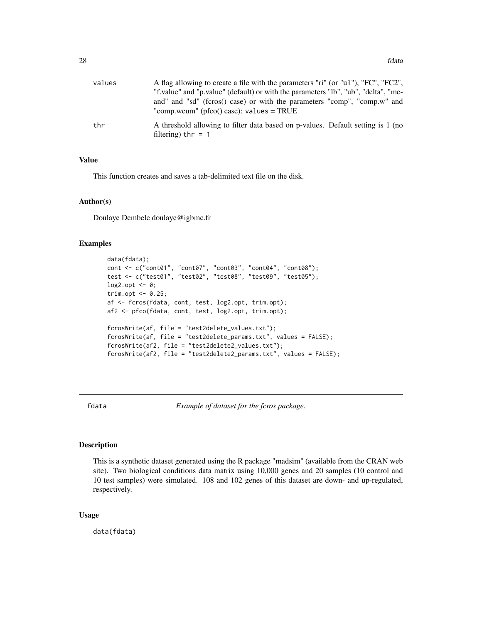<span id="page-27-0"></span>

| values | A flag allowing to create a file with the parameters "ri" (or "u1"), "FC", "FC2",                       |
|--------|---------------------------------------------------------------------------------------------------------|
|        | "f.value" and "p.value" (default) or with the parameters "lb", "ub", "delta", "me-                      |
|        | and" and "sd" (fcros() case) or with the parameters "comp", "comp.w" and                                |
|        | "comp.wcum" ( $pfco() case$ ): values = TRUE                                                            |
| thr    | A threshold allowing to filter data based on p-values. Default setting is 1 (no<br>filtering) thr $=$ 1 |

#### Value

This function creates and saves a tab-delimited text file on the disk.

#### Author(s)

Doulaye Dembele doulaye@igbmc.fr

#### Examples

```
data(fdata);
cont <- c("cont01", "cont07", "cont03", "cont04", "cont08");
test <- c("test01", "test02", "test08", "test09", "test05");
log2.opt <- 0;
trim.opt <- 0.25;
af <- fcros(fdata, cont, test, log2.opt, trim.opt);
af2 <- pfco(fdata, cont, test, log2.opt, trim.opt);
fcrosWrite(af, file = "test2delete_values.txt");
fcrosWrite(af, file = "test2delete_params.txt", values = FALSE);
fcrosWrite(af2, file = "test2delete2_values.txt");
fcrosWrite(af2, file = "test2delete2_params.txt", values = FALSE);
```
fdata *Example of dataset for the fcros package.*

## Description

This is a synthetic dataset generated using the R package "madsim" (available from the CRAN web site). Two biological conditions data matrix using 10,000 genes and 20 samples (10 control and 10 test samples) were simulated. 108 and 102 genes of this dataset are down- and up-regulated, respectively.

#### Usage

data(fdata)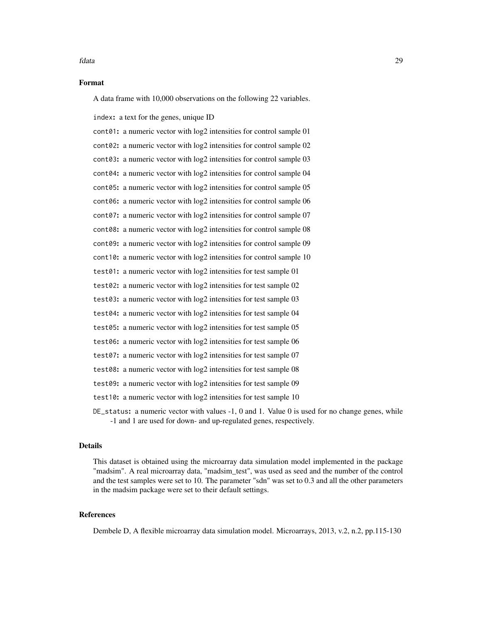#### fdata 29

#### Format

A data frame with 10,000 observations on the following 22 variables.

index: a text for the genes, unique ID

cont01: a numeric vector with log2 intensities for control sample 01 cont02: a numeric vector with log2 intensities for control sample 02 cont03: a numeric vector with log2 intensities for control sample 03 cont04: a numeric vector with log2 intensities for control sample 04 cont05: a numeric vector with log2 intensities for control sample 05 cont06: a numeric vector with log2 intensities for control sample 06 cont07: a numeric vector with log2 intensities for control sample 07 cont08: a numeric vector with log2 intensities for control sample 08 cont09: a numeric vector with log2 intensities for control sample 09 cont10: a numeric vector with log2 intensities for control sample 10 test01: a numeric vector with log2 intensities for test sample 01 test02: a numeric vector with log2 intensities for test sample 02 test03: a numeric vector with log2 intensities for test sample 03 test04: a numeric vector with log2 intensities for test sample 04 test05: a numeric vector with log2 intensities for test sample 05 test06: a numeric vector with log2 intensities for test sample 06 test07: a numeric vector with log2 intensities for test sample 07 test08: a numeric vector with log2 intensities for test sample 08 test09: a numeric vector with log2 intensities for test sample 09 test10: a numeric vector with log2 intensities for test sample 10 DE\_status: a numeric vector with values -1, 0 and 1. Value 0 is used for no change genes, while -1 and 1 are used for down- and up-regulated genes, respectively.

#### Details

This dataset is obtained using the microarray data simulation model implemented in the package "madsim". A real microarray data, "madsim\_test", was used as seed and the number of the control and the test samples were set to 10. The parameter "sdn" was set to 0.3 and all the other parameters in the madsim package were set to their default settings.

#### References

Dembele D, A flexible microarray data simulation model. Microarrays, 2013, v.2, n.2, pp.115-130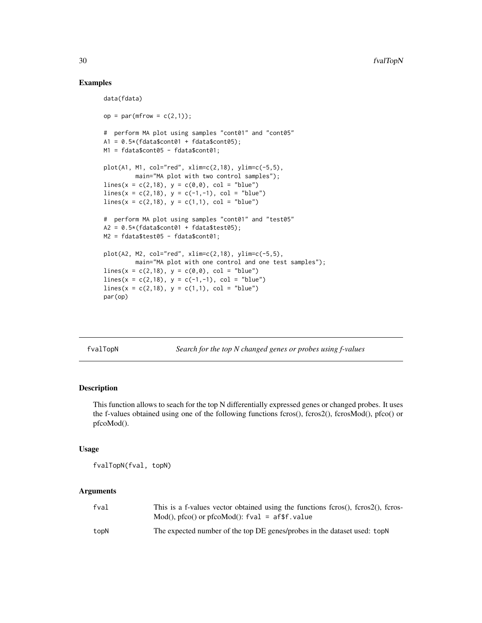## Examples

```
data(fdata)
op = par(mfrow = c(2,1));# perform MA plot using samples "cont01" and "cont05"
A1 = 0.5*(fdata\text{\texttt{3}}\text{const01} + fdata\text{\texttt{3}}\text{const05});M1 = fdata$cont05 - fdata$cont01;
plot(A1, M1, col="red", xlim=c(2,18), ylim=c(-5,5),
         main="MA plot with two control samples");
lines(x = c(2, 18), y = c(0, 0), col = "blue")lines(x = c(2,18), y = c(-1,-1), col = "blue")lines(x = c(2, 18), y = c(1, 1), col = "blue")# perform MA plot using samples "cont01" and "test05"
A2 = 0.5*(fdata\text{\texttt{6}}) + fdata\text{\texttt{6}}(65);M2 = fdata$test05 - fdata$cont01;
plot(A2, M2, col="red", xlim=c(2,18), ylim=c(-5,5),
         main="MA plot with one control and one test samples");
lines(x = c(2, 18), y = c(0, 0), col = "blue")lines(x = c(2, 18), y = c(-1, -1), col = "blue")lines(x = c(2, 18), y = c(1, 1), col = "blue")par(op)
```
fvalTopN *Search for the top N changed genes or probes using f-values*

#### Description

This function allows to seach for the top N differentially expressed genes or changed probes. It uses the f-values obtained using one of the following functions fcros(), fcros2(), fcrosMod(), pfco() or pfcoMod().

#### Usage

fvalTopN(fval, topN)

#### **Arguments**

| fval | This is a f-values vector obtained using the functions fcros(), fcros2(), fcros-<br>$Mod()$ , pfco $()$ or pfco $Mod()$ : fval = af\$f.value |
|------|----------------------------------------------------------------------------------------------------------------------------------------------|
| topN | The expected number of the top DE genes/probes in the dataset used: topN                                                                     |

<span id="page-29-0"></span>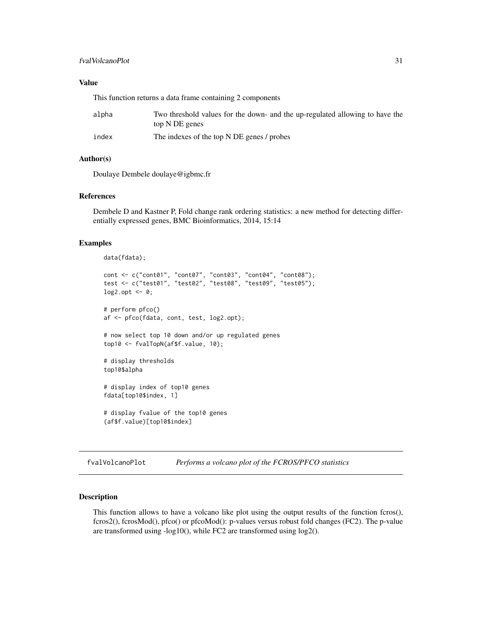## <span id="page-30-0"></span>fvalVolcanoPlot 31

## Value

This function returns a data frame containing 2 components

| alpha | Two threshold values for the down- and the up-regulated allowing to have the<br>top N DE genes |
|-------|------------------------------------------------------------------------------------------------|
| index | The indexes of the top N DE genes / probes                                                     |

## Author(s)

Doulaye Dembele doulaye@igbmc.fr

#### References

Dembele D and Kastner P, Fold change rank ordering statistics: a new method for detecting differentially expressed genes, BMC Bioinformatics, 2014, 15:14

### Examples

```
data(fdata);
cont <- c("cont01", "cont07", "cont03", "cont04", "cont08");
test <- c("test01", "test02", "test08", "test09", "test05");
\log 2.opt <- 0;
# perform pfco()
af <- pfco(fdata, cont, test, log2.opt);
# now select top 10 down and/or up regulated genes
top10 <- fvalTopN(af$f.value, 10);
# display thresholds
top10$alpha
# display index of top10 genes
fdata[top10$index, 1]
# display fvalue of the top10 genes
(af$f.value)[top10$index]
```
fvalVolcanoPlot *Performs a volcano plot of the FCROS/PFCO statistics*

## Description

This function allows to have a volcano like plot using the output results of the function fcros(), fcros2(), fcrosMod(), pfco() or pfcoMod(): p-values versus robust fold changes (FC2). The p-value are transformed using -log10(), while FC2 are transformed using log2().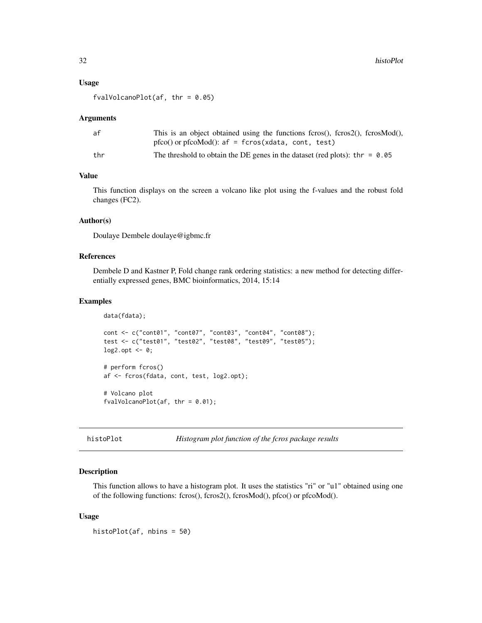#### <span id="page-31-0"></span>Usage

```
fvalVolcanoPlot(af, thr = 0.05)
```
#### Arguments

| af  | This is an object obtained using the functions fcros $($ ), fcros $($ 2 $($ ), fcros $Mod($ ), |
|-----|------------------------------------------------------------------------------------------------|
|     | $pfco()$ or $pfcoMod()$ : $af = fcros(xdata, cont, test)$                                      |
| thr | The threshold to obtain the DE genes in the dataset (red plots): thr = $0.05$                  |

## Value

This function displays on the screen a volcano like plot using the f-values and the robust fold changes (FC2).

## Author(s)

Doulaye Dembele doulaye@igbmc.fr

## References

Dembele D and Kastner P, Fold change rank ordering statistics: a new method for detecting differentially expressed genes, BMC bioinformatics, 2014, 15:14

#### Examples

```
data(fdata);
cont <- c("cont01", "cont07", "cont03", "cont04", "cont08");
test <- c("test01", "test02", "test08", "test09", "test05");
log2.opt <- 0;
# perform fcros()
af <- fcros(fdata, cont, test, log2.opt);
# Volcano plot
fvalVolcanoPlot(af, thr = 0.01);
```

```
histoPlot Histogram plot function of the fcros package results
```
## Description

This function allows to have a histogram plot. It uses the statistics "ri" or "u1" obtained using one of the following functions: fcros(), fcros2(), fcrosMod(), pfco() or pfcoMod().

#### Usage

histoPlot(af, nbins = 50)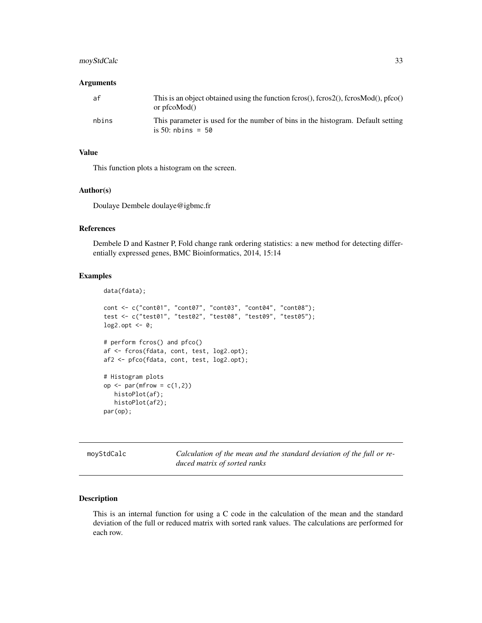## <span id="page-32-0"></span>moyStdCalc 33

#### **Arguments**

| af    | This is an object obtained using the function fcros(), fcros2(), fcrosMod(), $p f co()$<br>or pro $Mod()$ |
|-------|-----------------------------------------------------------------------------------------------------------|
| nbins | This parameter is used for the number of bins in the histogram. Default setting<br>is 50: nbins = $50$    |

## Value

This function plots a histogram on the screen.

#### Author(s)

Doulaye Dembele doulaye@igbmc.fr

## References

Dembele D and Kastner P, Fold change rank ordering statistics: a new method for detecting differentially expressed genes, BMC Bioinformatics, 2014, 15:14

#### Examples

```
data(fdata);
cont <- c("cont01", "cont07", "cont03", "cont04", "cont08");
test <- c("test01", "test02", "test08", "test09", "test05");
\log 2.opt <- 0;
# perform fcros() and pfco()
af <- fcros(fdata, cont, test, log2.opt);
af2 <- pfco(fdata, cont, test, log2.opt);
# Histogram plots
op \leq par(mfrow = c(1,2))
   histoPlot(af);
   histoPlot(af2);
par(op);
```
moyStdCalc *Calculation of the mean and the standard deviation of the full or reduced matrix of sorted ranks*

#### Description

This is an internal function for using a C code in the calculation of the mean and the standard deviation of the full or reduced matrix with sorted rank values. The calculations are performed for each row.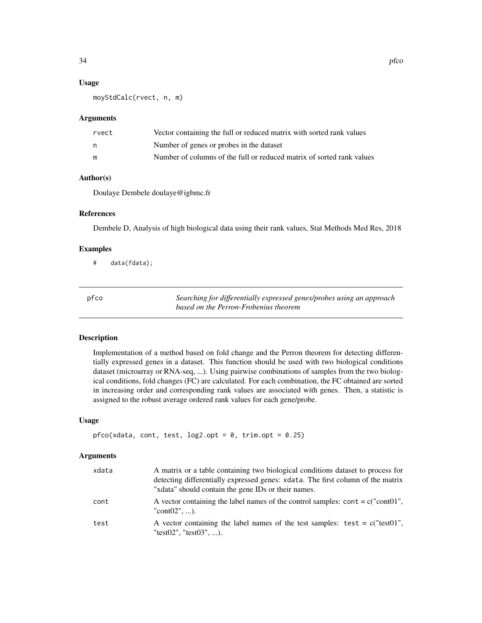#### Usage

moyStdCalc(rvect, n, m)

#### **Arguments**

| rvect | Vector containing the full or reduced matrix with sorted rank values  |
|-------|-----------------------------------------------------------------------|
| n     | Number of genes or probes in the dataset                              |
| m     | Number of columns of the full or reduced matrix of sorted rank values |

## Author(s)

Doulaye Dembele doulaye@igbmc.fr

#### References

Dembele D, Analysis of high biological data using their rank values, Stat Methods Med Res, 2018

### Examples

# data(fdata);

pfco *Searching for differentially expressed genes/probes using an approach based on the Perron-Frobenius theorem*

## Description

Implementation of a method based on fold change and the Perron theorem for detecting differentially expressed genes in a dataset. This function should be used with two biological conditions dataset (microarray or RNA-seq, ...). Using pairwise combinations of samples from the two biological conditions, fold changes (FC) are calculated. For each combination, the FC obtained are sorted in increasing order and corresponding rank values are associated with genes. Then, a statistic is assigned to the robust average ordered rank values for each gene/probe.

## Usage

```
pfco(xdata, cont, test, log2,opt = 0, trim,opt = 0.25)
```
#### Arguments

| xdata | A matrix or a table containing two biological conditions dataset to process for<br>detecting differentially expressed genes: xdata. The first column of the matrix<br>"xdata" should contain the gene IDs or their names. |
|-------|---------------------------------------------------------------------------------------------------------------------------------------------------------------------------------------------------------------------------|
| cont  | A vector containing the label names of the control samples: cont = $c("cont01",$<br>"cont $02$ ", ).                                                                                                                      |
| test  | A vector containing the label names of the test samples: test = $c("test01",$<br>"test02", "test03", ).                                                                                                                   |

<span id="page-33-0"></span>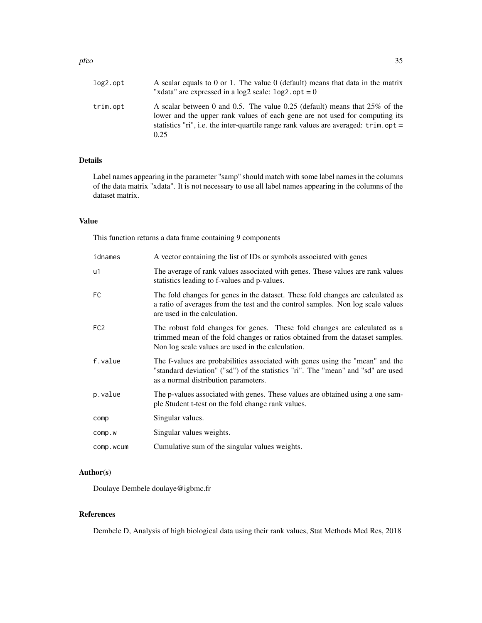#### pfco 35

| log2.opt | A scalar equals to 0 or 1. The value $0$ (default) means that data in the matrix<br>"xdata" are expressed in a log2 scale: $log2$ . opt = 0                                                                                                                              |
|----------|--------------------------------------------------------------------------------------------------------------------------------------------------------------------------------------------------------------------------------------------------------------------------|
| trim.opt | A scalar between 0 and 0.5. The value 0.25 (default) means that 25% of the<br>lower and the upper rank values of each gene are not used for computing its<br>statistics "ri", i.e. the inter-quartile range rank values are averaged: $\text{trim}.\text{opt} =$<br>0.25 |

## Details

Label names appearing in the parameter "samp" should match with some label names in the columns of the data matrix "xdata". It is not necessary to use all label names appearing in the columns of the dataset matrix.

## Value

This function returns a data frame containing 9 components

| idnames         | A vector containing the list of IDs or symbols associated with genes                                                                                                                                            |
|-----------------|-----------------------------------------------------------------------------------------------------------------------------------------------------------------------------------------------------------------|
| u1              | The average of rank values associated with genes. These values are rank values<br>statistics leading to f-values and p-values.                                                                                  |
| FC              | The fold changes for genes in the dataset. These fold changes are calculated as<br>a ratio of averages from the test and the control samples. Non log scale values<br>are used in the calculation.              |
| FC <sub>2</sub> | The robust fold changes for genes. These fold changes are calculated as a<br>trimmed mean of the fold changes or ratios obtained from the dataset samples.<br>Non log scale values are used in the calculation. |
| f.value         | The f-values are probabilities associated with genes using the "mean" and the<br>"standard deviation" ("sd") of the statistics "ri". The "mean" and "sd" are used<br>as a normal distribution parameters.       |
| p.value         | The p-values associated with genes. These values are obtained using a one sam-<br>ple Student t-test on the fold change rank values.                                                                            |
| comp            | Singular values.                                                                                                                                                                                                |
| COMP.W          | Singular values weights.                                                                                                                                                                                        |
| comp.wcum       | Cumulative sum of the singular values weights.                                                                                                                                                                  |

## Author(s)

Doulaye Dembele doulaye@igbmc.fr

## References

Dembele D, Analysis of high biological data using their rank values, Stat Methods Med Res, 2018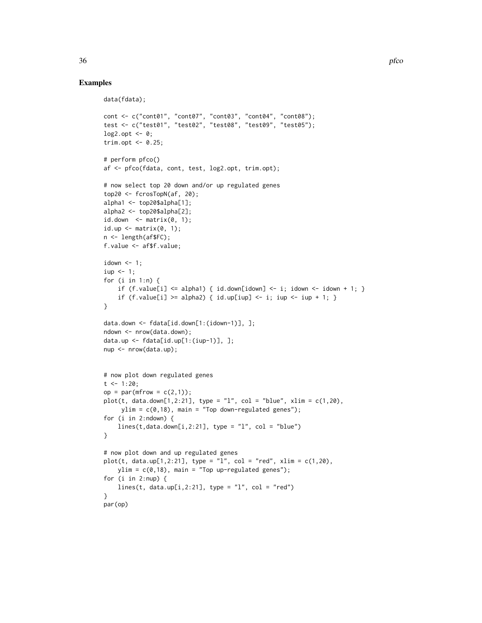## Examples

```
data(fdata);
cont <- c("cont01", "cont07", "cont03", "cont04", "cont08");
test <- c("test01", "test02", "test08", "test09", "test05");
\log 2.opt <- 0;
trim.opt \leq -0.25;
# perform pfco()
af <- pfco(fdata, cont, test, log2.opt, trim.opt);
# now select top 20 down and/or up regulated genes
top20 <- fcrosTopN(af, 20);
alpha1 <- top20$alpha[1];
alpha2 <- top20$alpha[2];
id.down \leftarrow matrix(0, 1);id.up \leq matrix(0, 1);
n <- length(af$FC);
f.value <- af$f.value;
idown \leq -1;
iup < -1;for (i in 1:n) {
    if (f.value[i] \leq alpha1) { id-down[idown] \leq i; idown \leq idown + 1; }
    if (f.value[i] >= alpha2) { id.up[iup] <- i; iup <- iup + 1; }
}
data.down <- fdata[id.down[1:(idown-1)], ];
ndown <- nrow(data.down);
data.up <- fdata[id.up[1:(iup-1)], ];
nup <- nrow(data.up);
# now plot down regulated genes
t <- 1:20;
op = par(mfrow = c(2,1));plot(t, data.down[1,2:21], type = "l", col = "blue", xlim = c(1,20),ylim = c(0, 18), main = "Top down-regulated genes");
for (i in 2:ndown) {
    lines(t, data.down[i,2:21], type = "l", col = "blue")}
# now plot down and up regulated genes
plot(t, data.up[1, 2:21], type = "l", col = "red", xlim = c(1, 20),ylim = c(0,18), main = "Top up-regulated genes");
for (i in 2:nup) {
    lines(t, data.up[i,2:21], type = "l", col = "red")}
par(op)
```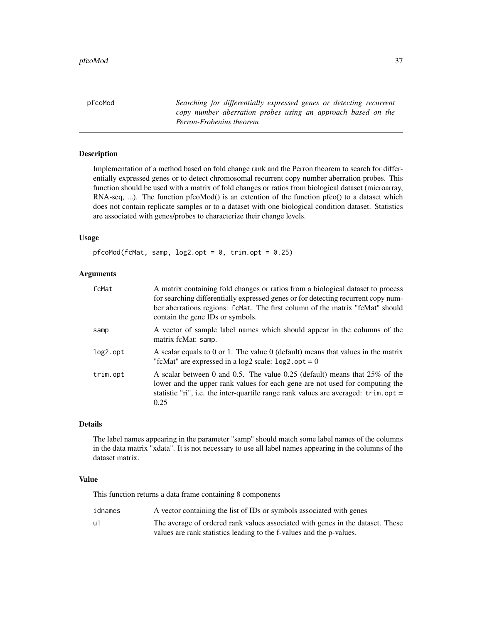<span id="page-36-0"></span>pfcoMod *Searching for differentially expressed genes or detecting recurrent copy number aberration probes using an approach based on the Perron-Frobenius theorem*

#### Description

Implementation of a method based on fold change rank and the Perron theorem to search for differentially expressed genes or to detect chromosomal recurrent copy number aberration probes. This function should be used with a matrix of fold changes or ratios from biological dataset (microarray, RNA-seq, ...). The function pfcoMod() is an extention of the function pfco() to a dataset which does not contain replicate samples or to a dataset with one biological condition dataset. Statistics are associated with genes/probes to characterize their change levels.

## Usage

pfcoMod(fcMat, samp,  $log2.opt = 0$ , trim.opt = 0.25)

#### Arguments

| fcMat    | A matrix containing fold changes or ratios from a biological dataset to process<br>for searching differentially expressed genes or for detecting recurrent copy num-<br>ber aberrations regions: fcMat. The first column of the matrix "fcMat" should<br>contain the gene IDs or symbols. |
|----------|-------------------------------------------------------------------------------------------------------------------------------------------------------------------------------------------------------------------------------------------------------------------------------------------|
| samp     | A vector of sample label names which should appear in the columns of the<br>matrix fcMat: samp.                                                                                                                                                                                           |
| log2.opt | A scalar equals to 0 or 1. The value 0 (default) means that values in the matrix<br>"fcMat" are expressed in a $log2$ scale: $log2$ . opt = 0                                                                                                                                             |
| trim.opt | A scalar between 0 and 0.5. The value 0.25 (default) means that $25\%$ of the<br>lower and the upper rank values for each gene are not used for computing the<br>statistic "ri", i.e. the inter-quartile range rank values are averaged: $\text{trim}.\text{opt} =$<br>0.25               |

## Details

The label names appearing in the parameter "samp" should match some label names of the columns in the data matrix "xdata". It is not necessary to use all label names appearing in the columns of the dataset matrix.

## Value

This function returns a data frame containing 8 components

| idnames | A vector containing the list of IDs or symbols associated with genes           |
|---------|--------------------------------------------------------------------------------|
| u1      | The average of ordered rank values associated with genes in the dataset. These |
|         | values are rank statistics leading to the f-values and the p-values.           |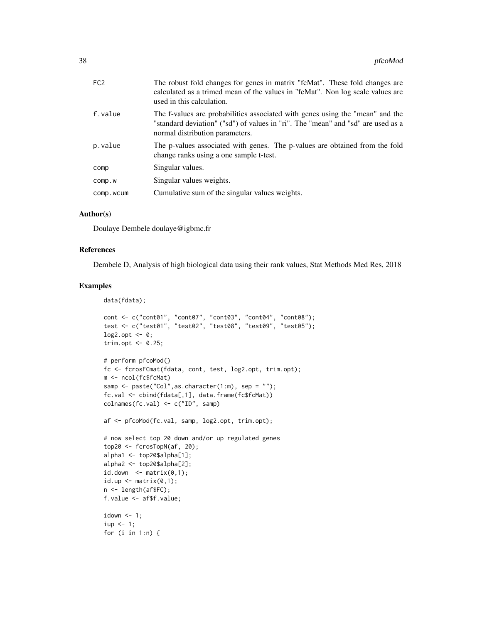| FC <sub>2</sub> | The robust fold changes for genes in matrix "fcMat". These fold changes are<br>calculated as a trimed mean of the values in "fcMat". Non log scale values are<br>used in this calculation.           |
|-----------------|------------------------------------------------------------------------------------------------------------------------------------------------------------------------------------------------------|
| f.value         | The f-values are probabilities associated with genes using the "mean" and the<br>"standard deviation" ("sd") of values in "ri". The "mean" and "sd" are used as a<br>normal distribution parameters. |
| p.value         | The p-values associated with genes. The p-values are obtained from the fold<br>change ranks using a one sample t-test.                                                                               |
| comp            | Singular values.                                                                                                                                                                                     |
| COMP.W          | Singular values weights.                                                                                                                                                                             |
| comp.wcum       | Cumulative sum of the singular values weights.                                                                                                                                                       |

#### Author(s)

Doulaye Dembele doulaye@igbmc.fr

#### References

Dembele D, Analysis of high biological data using their rank values, Stat Methods Med Res, 2018

#### Examples

```
data(fdata);
```

```
cont <- c("cont01", "cont07", "cont03", "cont04", "cont08");
test <- c("test01", "test02", "test08", "test09", "test05");
log2.opt \leq -0;
trim.opt <- 0.25;
# perform pfcoMod()
fc <- fcrosFCmat(fdata, cont, test, log2.opt, trim.opt);
m <- ncol(fc$fcMat)
samp <- paste("Col", as.character(1:m), sep = "");
fc.val <- cbind(fdata[,1], data.frame(fc$fcMat))
colnames(fc.val) <- c("ID", samp)
af <- pfcoMod(fc.val, samp, log2.opt, trim.opt);
# now select top 20 down and/or up regulated genes
top20 <- fcrosTopN(af, 20);
alpha1 <- top20$alpha[1];
alpha2 <- top20$alpha[2];
id.down \leftarrow matrix(0,1);id.up \leq matrix(0,1);
n <- length(af$FC);
f.value <- af$f.value;
idown < -1;iup \leftarrow 1;
for (i in 1:n) {
```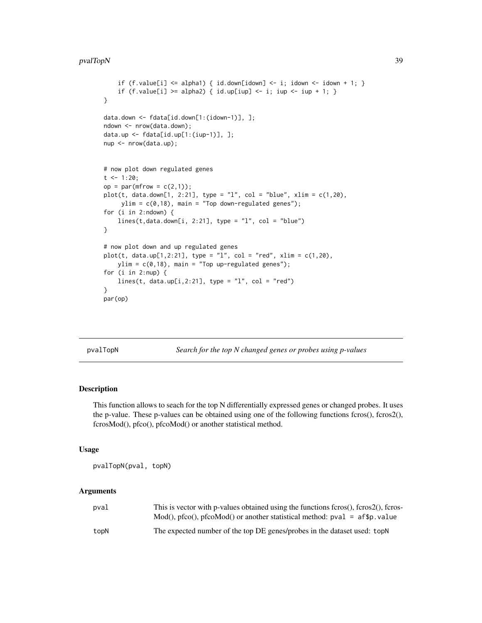#### <span id="page-38-0"></span>pvalTopN 39

```
if (f.value[i] \le alpha1) { id.down[idown] \le- i; idown \le- idown + 1; }
    if (f.value[i] >= alpha2) { id.up[iup] <- i; iup <- iup + 1; }
}
data.down <- fdata[id.down[1:(idown-1)], ];
ndown <- nrow(data.down);
data.up <- fdata[id.up[1:(iup-1)], ];
nup <- nrow(data.up);
# now plot down regulated genes
t <- 1:20;
op = par(mfrow = c(2,1));plot(t, data.down[1, 2:21], type = "1", col = "blue", xlim = c(1,20),ylim = c(0,18), main = "Top down-regulated genes");
for (i in 2:ndown) {
    lines(t, data.down[i, 2:21], type = "l", col = "blue")}
# now plot down and up regulated genes
plot(t, data.up[1, 2:21], type = "l", col = "red", xlim = c(1, 20),ylim = c(0,18), main = "Top up-regulated genes");
for (i in 2:nup) {
    lines(t, data.up[i,2:21], type = "1", col = "red")
}
par(op)
```
pvalTopN *Search for the top N changed genes or probes using p-values*

## Description

This function allows to seach for the top N differentially expressed genes or changed probes. It uses the p-value. These p-values can be obtained using one of the following functions fcros(), fcros2(), fcrosMod(), pfco(), pfcoMod() or another statistical method.

#### Usage

pvalTopN(pval, topN)

#### Arguments

| pval | This is vector with p-values obtained using the functions fcros(), fcros2(), fcros-   |
|------|---------------------------------------------------------------------------------------|
|      | $Mod()$ , pfco $()$ , pfco $Mod()$ or another statistical method: pval = af\$p. value |
| topN | The expected number of the top DE genes/probes in the dataset used: topN              |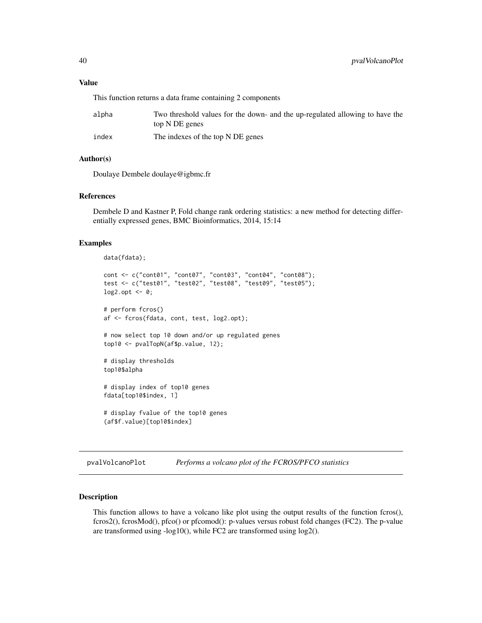<span id="page-39-0"></span>This function returns a data frame containing 2 components

| alpha | Two threshold values for the down- and the up-regulated allowing to have the<br>top N DE genes |
|-------|------------------------------------------------------------------------------------------------|
| index | The indexes of the top N DE genes                                                              |

#### Author(s)

Doulaye Dembele doulaye@igbmc.fr

#### References

Dembele D and Kastner P, Fold change rank ordering statistics: a new method for detecting differentially expressed genes, BMC Bioinformatics, 2014, 15:14

#### Examples

```
data(fdata);
cont <- c("cont01", "cont07", "cont03", "cont04", "cont08");
test <- c("test01", "test02", "test08", "test09", "test05");
\log 2.opt <- 0;
# perform fcros()
af <- fcros(fdata, cont, test, log2.opt);
# now select top 10 down and/or up regulated genes
top10 <- pvalTopN(af$p.value, 12);
# display thresholds
top10$alpha
# display index of top10 genes
fdata[top10$index, 1]
# display fvalue of the top10 genes
(af$f.value)[top10$index]
```
pvalVolcanoPlot *Performs a volcano plot of the FCROS/PFCO statistics*

### Description

This function allows to have a volcano like plot using the output results of the function fcros(), fcros2(), fcrosMod(), pfco() or pfcomod(): p-values versus robust fold changes (FC2). The p-value are transformed using -log10(), while FC2 are transformed using log2().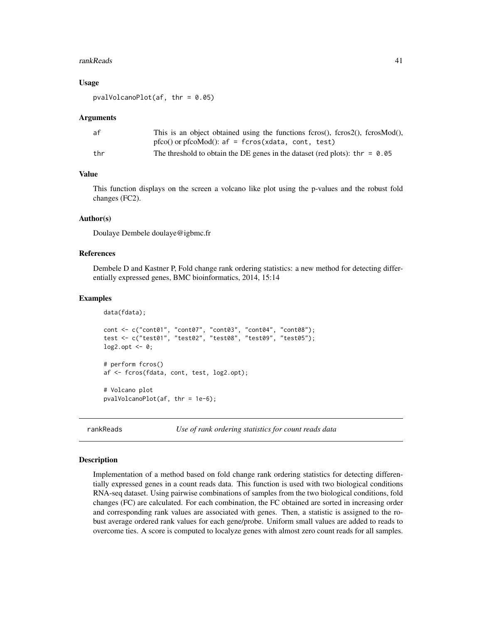#### <span id="page-40-0"></span>rankReads 41

#### Usage

 $pval$ VolcanoPlot(af, thr = 0.05)

#### Arguments

| af  | This is an object obtained using the functions fcros(), fcros $(2)$ , fcros $Mod()$ , |
|-----|---------------------------------------------------------------------------------------|
|     | $p f co()$ or $p f coMod()$ : $af = f cros(xdata, cont, test)$                        |
| thr | The threshold to obtain the DE genes in the dataset (red plots): thr = $0.05$         |

## Value

This function displays on the screen a volcano like plot using the p-values and the robust fold changes (FC2).

### Author(s)

Doulaye Dembele doulaye@igbmc.fr

### References

Dembele D and Kastner P, Fold change rank ordering statistics: a new method for detecting differentially expressed genes, BMC bioinformatics, 2014, 15:14

#### Examples

```
data(fdata);
cont <- c("cont01", "cont07", "cont03", "cont04", "cont08");
test <- c("test01", "test02", "test08", "test09", "test05");
log2.opt \leq -0;
# perform fcros()
af <- fcros(fdata, cont, test, log2.opt);
# Volcano plot
pvalVolcanoPlot(af, thr = 1e-6);
```
rankReads *Use of rank ordering statistics for count reads data*

#### Description

Implementation of a method based on fold change rank ordering statistics for detecting differentially expressed genes in a count reads data. This function is used with two biological conditions RNA-seq dataset. Using pairwise combinations of samples from the two biological conditions, fold changes (FC) are calculated. For each combination, the FC obtained are sorted in increasing order and corresponding rank values are associated with genes. Then, a statistic is assigned to the robust average ordered rank values for each gene/probe. Uniform small values are added to reads to overcome ties. A score is computed to localyze genes with almost zero count reads for all samples.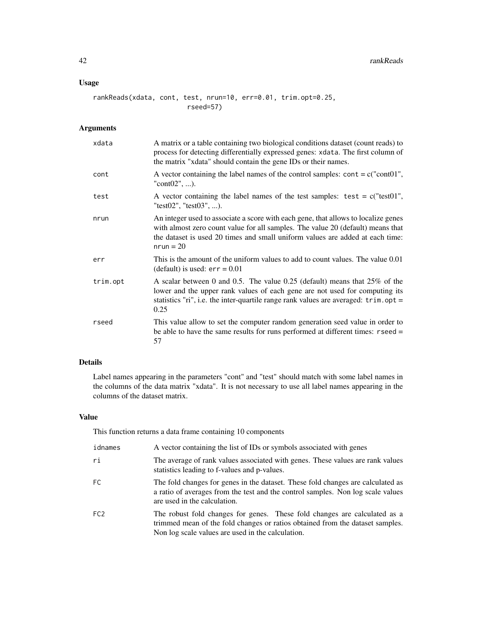## Usage

rankReads(xdata, cont, test, nrun=10, err=0.01, trim.opt=0.25, rseed=57)

## Arguments

| xdata    | A matrix or a table containing two biological conditions dataset (count reads) to<br>process for detecting differentially expressed genes: xdata. The first column of<br>the matrix "xdata" should contain the gene IDs or their names.                                     |
|----------|-----------------------------------------------------------------------------------------------------------------------------------------------------------------------------------------------------------------------------------------------------------------------------|
| cont     | A vector containing the label names of the control samples: $\text{cont} = c("cont01",$<br>"cont $02$ ", ).                                                                                                                                                                 |
| test     | A vector containing the label names of the test samples: $test = c("test01",$<br>"test02", "test03", ).                                                                                                                                                                     |
| nrun     | An integer used to associate a score with each gene, that allows to localize genes<br>with almost zero count value for all samples. The value 20 (default) means that<br>the dataset is used 20 times and small uniform values are added at each time:<br>$nrun = 20$       |
| err      | This is the amount of the uniform values to add to count values. The value 0.01<br>(default) is used: $err = 0.01$                                                                                                                                                          |
| trim.opt | A scalar between 0 and 0.5. The value 0.25 (default) means that $25\%$ of the<br>lower and the upper rank values of each gene are not used for computing its<br>statistics "ri", i.e. the inter-quartile range rank values are averaged: $\text{trim}.\text{opt} =$<br>0.25 |
| rseed    | This value allow to set the computer random generation seed value in order to<br>be able to have the same results for runs performed at different times: $rseed =$<br>57                                                                                                    |

## Details

Label names appearing in the parameters "cont" and "test" should match with some label names in the columns of the data matrix "xdata". It is not necessary to use all label names appearing in the columns of the dataset matrix.

## Value

This function returns a data frame containing 10 components

| idnames         | A vector containing the list of IDs or symbols associated with genes                                                                                                                                            |
|-----------------|-----------------------------------------------------------------------------------------------------------------------------------------------------------------------------------------------------------------|
| ri              | The average of rank values associated with genes. These values are rank values<br>statistics leading to f-values and p-values.                                                                                  |
| FC.             | The fold changes for genes in the dataset. These fold changes are calculated as<br>a ratio of averages from the test and the control samples. Non log scale values<br>are used in the calculation.              |
| FC <sub>2</sub> | The robust fold changes for genes. These fold changes are calculated as a<br>trimmed mean of the fold changes or ratios obtained from the dataset samples.<br>Non log scale values are used in the calculation. |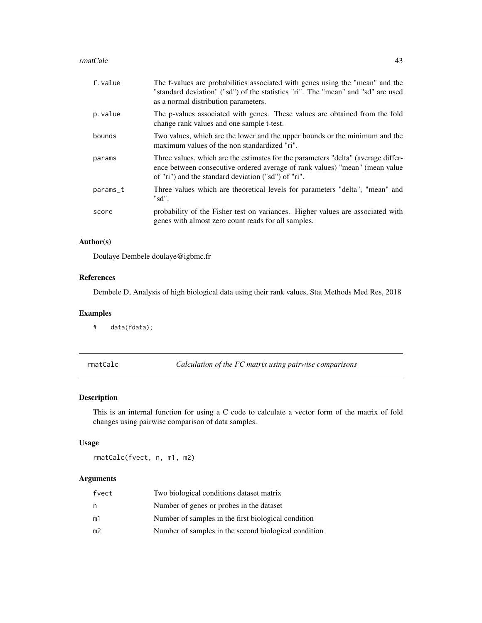#### <span id="page-42-0"></span>rmatCalc 43

| f.value    | The f-values are probabilities associated with genes using the "mean" and the<br>"standard deviation" ("sd") of the statistics "ri". The "mean" and "sd" are used<br>as a normal distribution parameters.               |
|------------|-------------------------------------------------------------------------------------------------------------------------------------------------------------------------------------------------------------------------|
| p.value    | The p-values associated with genes. These values are obtained from the fold<br>change rank values and one sample t-test.                                                                                                |
| bounds     | Two values, which are the lower and the upper bounds or the minimum and the<br>maximum values of the non standardized "ri".                                                                                             |
| params     | Three values, which are the estimates for the parameters "delta" (average differ-<br>ence between consecutive ordered average of rank values) "mean" (mean value<br>of "ri") and the standard deviation ("sd") of "ri". |
| $params_t$ | Three values which are theoretical levels for parameters "delta", "mean" and<br>"sd".                                                                                                                                   |
| score      | probability of the Fisher test on variances. Higher values are associated with<br>genes with almost zero count reads for all samples.                                                                                   |

## Author(s)

Doulaye Dembele doulaye@igbmc.fr

## References

Dembele D, Analysis of high biological data using their rank values, Stat Methods Med Res, 2018

#### Examples

# data(fdata);

rmatCalc *Calculation of the FC matrix using pairwise comparisons*

## Description

This is an internal function for using a C code to calculate a vector form of the matrix of fold changes using pairwise comparison of data samples.

## Usage

rmatCalc(fvect, n, m1, m2)

## Arguments

| fvect | Two biological conditions dataset matrix             |
|-------|------------------------------------------------------|
| n     | Number of genes or probes in the dataset             |
| m1    | Number of samples in the first biological condition  |
| m2    | Number of samples in the second biological condition |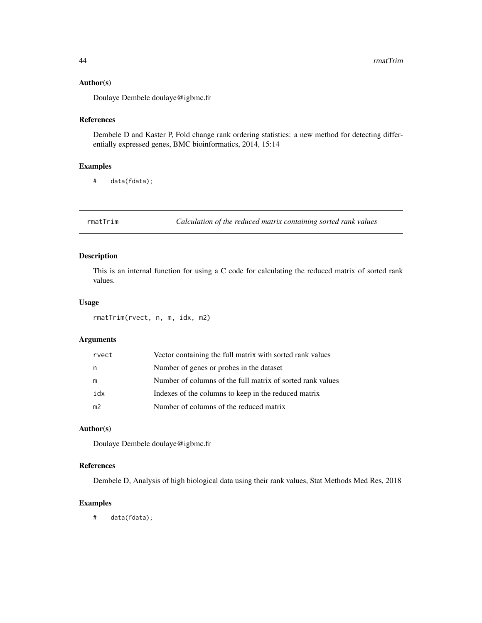#### <span id="page-43-0"></span>Author(s)

Doulaye Dembele doulaye@igbmc.fr

## References

Dembele D and Kaster P, Fold change rank ordering statistics: a new method for detecting differentially expressed genes, BMC bioinformatics, 2014, 15:14

#### Examples

# data(fdata);

rmatTrim *Calculation of the reduced matrix containing sorted rank values*

## Description

This is an internal function for using a C code for calculating the reduced matrix of sorted rank values.

#### Usage

rmatTrim(rvect, n, m, idx, m2)

## Arguments

| rvect          | Vector containing the full matrix with sorted rank values  |
|----------------|------------------------------------------------------------|
| n              | Number of genes or probes in the dataset                   |
| m              | Number of columns of the full matrix of sorted rank values |
| idx            | Indexes of the columns to keep in the reduced matrix       |
| m <sub>2</sub> | Number of columns of the reduced matrix                    |

## Author(s)

Doulaye Dembele doulaye@igbmc.fr

## References

Dembele D, Analysis of high biological data using their rank values, Stat Methods Med Res, 2018

## Examples

# data(fdata);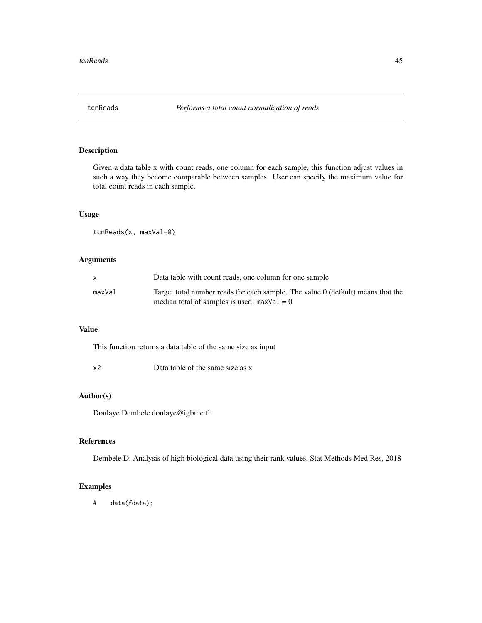<span id="page-44-0"></span>

## Description

Given a data table x with count reads, one column for each sample, this function adjust values in such a way they become comparable between samples. User can specify the maximum value for total count reads in each sample.

## Usage

tcnReads(x, maxVal=0)

## Arguments

|        | Data table with count reads, one column for one sample                          |
|--------|---------------------------------------------------------------------------------|
| maxVal | Target total number reads for each sample. The value 0 (default) means that the |
|        | median total of samples is used: $maxVal = 0$                                   |

## Value

This function returns a data table of the same size as input

x2 Data table of the same size as x

## Author(s)

Doulaye Dembele doulaye@igbmc.fr

## References

Dembele D, Analysis of high biological data using their rank values, Stat Methods Med Res, 2018

## Examples

# data(fdata);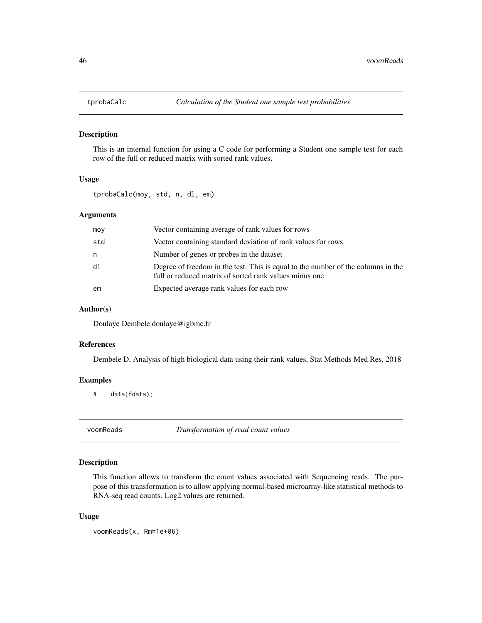<span id="page-45-0"></span>

#### Description

This is an internal function for using a C code for performing a Student one sample test for each row of the full or reduced matrix with sorted rank values.

#### Usage

tprobaCalc(moy, std, n, dl, em)

## Arguments

| moy | Vector containing average of rank values for rows                                                                                          |
|-----|--------------------------------------------------------------------------------------------------------------------------------------------|
| std | Vector containing standard deviation of rank values for rows                                                                               |
| n.  | Number of genes or probes in the dataset                                                                                                   |
| d1  | Degree of freedom in the test. This is equal to the number of the columns in the<br>full or reduced matrix of sorted rank values minus one |
| em  | Expected average rank values for each row                                                                                                  |

#### Author(s)

Doulaye Dembele doulaye@igbmc.fr

#### References

Dembele D, Analysis of high biological data using their rank values, Stat Methods Med Res, 2018

## Examples

# data(fdata);

voomReads *Transformation of read count values*

## Description

This function allows to transform the count values associated with Sequencing reads. The purpose of this transformation is to allow applying normal-based microarray-like statistical methods to RNA-seq read counts. Log2 values are returned.

#### Usage

voomReads(x, Rm=1e+06)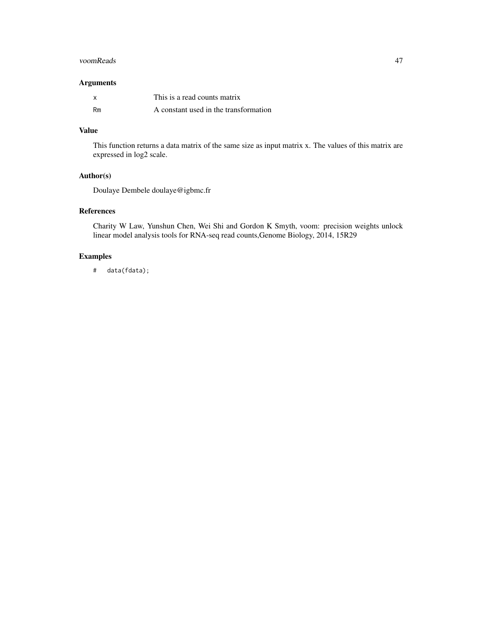#### voomReads 47

## Arguments

|    | This is a read counts matrix          |
|----|---------------------------------------|
| Rm | A constant used in the transformation |

## Value

This function returns a data matrix of the same size as input matrix x. The values of this matrix are expressed in log2 scale.

## Author(s)

Doulaye Dembele doulaye@igbmc.fr

## References

Charity W Law, Yunshun Chen, Wei Shi and Gordon K Smyth, voom: precision weights unlock linear model analysis tools for RNA-seq read counts,Genome Biology, 2014, 15R29

## Examples

# data(fdata);